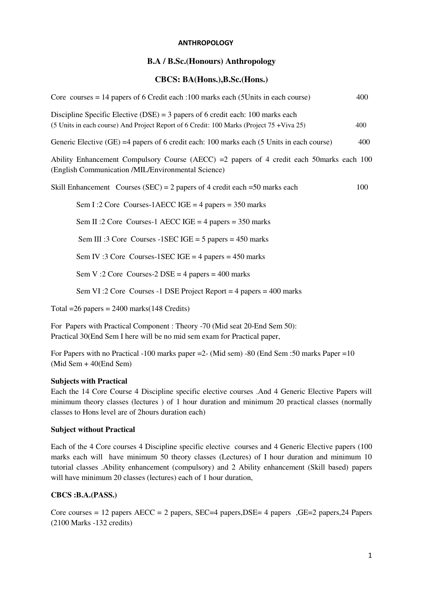#### **ANTHROPOLOGY**

# **B.A / B.Sc.(Honours) Anthropology**

# **CBCS: BA(Hons.),B.Sc.(Hons.)**

| Core courses $= 14$ papers of 6 Credit each : 100 marks each (5 Units in each course)                                                                                         | 400 |
|-------------------------------------------------------------------------------------------------------------------------------------------------------------------------------|-----|
| Discipline Specific Elective (DSE) = $3$ papers of 6 credit each: 100 marks each<br>(5 Units in each course) And Project Report of 6 Credit: 100 Marks (Project 75 + Viva 25) | 400 |
| Generic Elective (GE) =4 papers of 6 credit each: 100 marks each (5 Units in each course)                                                                                     | 400 |
| Ability Enhancement Compulsory Course (AECC) = 2 papers of 4 credit each 50 marks each 100<br>(English Communication /MIL/Environmental Science)                              |     |
| Skill Enhancement Courses (SEC) = 2 papers of 4 credit each = $50$ marks each                                                                                                 | 100 |
| Sem I:2 Core Courses-1AECC IGE = $4$ papers = 350 marks                                                                                                                       |     |
| Sem II :2 Core Courses-1 AECC IGE = 4 papers = $350$ marks                                                                                                                    |     |
| Sem III :3 Core Courses -1 SEC IGE = $5$ papers = 450 marks                                                                                                                   |     |
| Sem IV:3 Core Courses-1SEC IGE = $4$ papers = $450$ marks                                                                                                                     |     |
| Sem V:2 Core Courses-2 DSE = 4 papers = $400$ marks                                                                                                                           |     |
| Sem VI:2 Core Courses -1 DSE Project Report = 4 papers = $400$ marks                                                                                                          |     |
| Total = $26$ papers = $2400$ marks (148 Credits)                                                                                                                              |     |

For Papers with Practical Component : Theory -70 (Mid seat 20-End Sem 50): Practical 30(End Sem I here will be no mid sem exam for Practical paper,

For Papers with no Practical -100 marks paper =2- (Mid sem) -80 (End Sem :50 marks Paper =10 (Mid Sem + 40(End Sem)

#### **Subjects with Practical**

Each the 14 Core Course 4 Discipline specific elective courses .And 4 Generic Elective Papers will minimum theory classes (lectures ) of 1 hour duration and minimum 20 practical classes (normally classes to Hons level are of 2hours duration each)

#### **Subject without Practical**

Each of the 4 Core courses 4 Discipline specific elective courses and 4 Generic Elective papers (100 marks each will have minimum 50 theory classes (Lectures) of I hour duration and minimum 10 tutorial classes .Ability enhancement (compulsory) and 2 Ability enhancement (Skill based) papers will have minimum 20 classes (lectures) each of 1 hour duration.

# **CBCS :B.A.(PASS.)**

Core courses = 12 papers  $AECC = 2$  papers,  $SEC=4$  papers,  $DSE = 4$  papers ,  $GE=2$  papers,  $24$  Papers (2100 Marks -132 credits)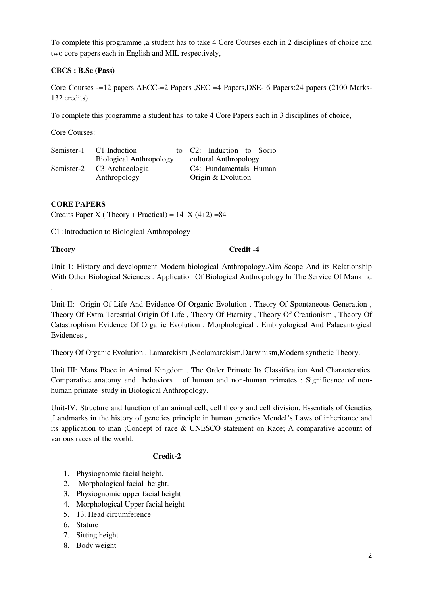To complete this programme ,a student has to take 4 Core Courses each in 2 disciplines of choice and two core papers each in English and MIL respectively,

# **CBCS : B.Sc (Pass)**

Core Courses -=12 papers AECC-=2 Papers ,SEC =4 Papers,DSE- 6 Papers:24 papers (2100 Marks-132 credits)

To complete this programme a student has to take 4 Core Papers each in 3 disciplines of choice,

Core Courses:

| Semister-1 | C1:Induction                   | to C2: Induction to Socio |  |
|------------|--------------------------------|---------------------------|--|
|            | <b>Biological Anthropology</b> | cultural Anthropology     |  |
| Semister-2 | C3:Archaeologial               | C4: Fundamentals Human    |  |
|            | Anthropology                   | Origin & Evolution        |  |

# **CORE PAPERS**

Credits Paper X (Theory + Practical) =  $14 \text{ X } (4+2) = 84$ 

C1 :Introduction to Biological Anthropology

.

# **Theory** Credit -4

Unit 1: History and development Modern biological Anthropology.Aim Scope And its Relationship With Other Biological Sciences . Application Of Biological Anthropology In The Service Of Mankind

Unit-II: Origin Of Life And Evidence Of Organic Evolution . Theory Of Spontaneous Generation , Theory Of Extra Terestrial Origin Of Life , Theory Of Eternity , Theory Of Creationism , Theory Of Catastrophism Evidence Of Organic Evolution , Morphological , Embryological And Palaeantogical Evidences ,

Theory Of Organic Evolution , Lamarckism ,Neolamarckism,Darwinism,Modern synthetic Theory.

Unit III: Mans Place in Animal Kingdom . The Order Primate Its Classification And Characterstics. Comparative anatomy and behaviors of human and non-human primates : Significance of nonhuman primate study in Biological Anthropology.

Unit-IV: Structure and function of an animal cell; cell theory and cell division. Essentials of Genetics ,Landmarks in the history of genetics principle in human genetics Mendel's Laws of inheritance and its application to man ;Concept of race & UNESCO statement on Race; A comparative account of various races of the world.

# **Credit-2**

- 1. Physiognomic facial height.
- 2. Morphological facial height.
- 3. Physiognomic upper facial height
- 4. Morphological Upper facial height
- 5. 13. Head circumference
- 6. Stature
- 7. Sitting height
- 8. Body weight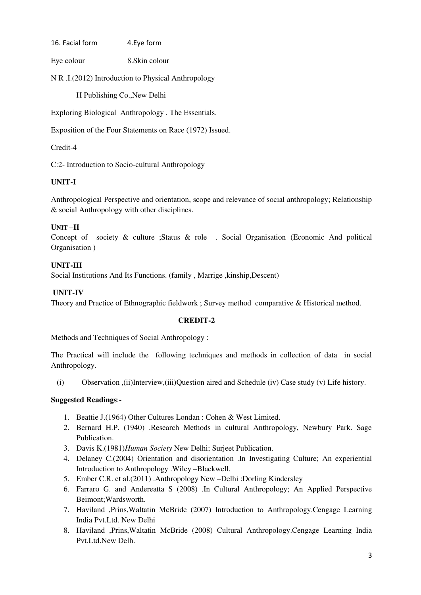16. Facial form 4.Eye form

Eye colour 8.Skin colour

N R .I.(2012) Introduction to Physical Anthropology

H Publishing Co.,New Delhi

Exploring Biological Anthropology . The Essentials.

Exposition of the Four Statements on Race (1972) Issued.

Credit-4

C:2- Introduction to Socio-cultural Anthropology

# **UNIT-I**

Anthropological Perspective and orientation, scope and relevance of social anthropology; Relationship & social Anthropology with other disciplines.

# **UNIT –II**

Concept of society & culture ;Status & role . Social Organisation (Economic And political Organisation )

### **UNIT-III**

Social Institutions And Its Functions. (family , Marrige ,kinship,Descent)

# **UNIT-IV**

Theory and Practice of Ethnographic fieldwork ; Survey method comparative & Historical method.

#### **CREDIT-2**

Methods and Techniques of Social Anthropology :

The Practical will include the following techniques and methods in collection of data in social Anthropology.

(i) Observation ,(ii)Interview,(iii)Question aired and Schedule (iv) Case study (v) Life history.

- 1. Beattie J.(1964) Other Cultures Londan : Cohen & West Limited.
- 2. Bernard H.P. (1940) .Research Methods in cultural Anthropology, Newbury Park. Sage Publication.
- 3. Davis K.(1981)*Human Society* New Delhi; Surjeet Publication.
- 4. Delaney C.(2004) Orientation and disorientation .In Investigating Culture; An experiential Introduction to Anthropology .Wiley –Blackwell.
- 5. Ember C.R. et al.(2011) .Anthropology New –Delhi :Dorling Kindersley
- 6. Farraro G. and Andereatta S (2008) .In Cultural Anthropology; An Applied Perspective Beimont;Wardsworth.
- 7. Haviland ,Prins,Waltatin McBride (2007) Introduction to Anthropology.Cengage Learning India Pvt.Ltd. New Delhi
- 8. Haviland ,Prins,Waltatin McBride (2008) Cultural Anthropology.Cengage Learning India Pvt.Ltd.New Delh.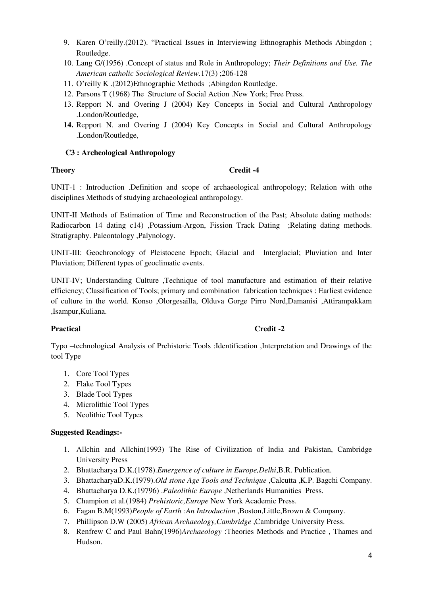- 9. Karen O'reilly.(2012). "Practical Issues in Interviewing Ethnographis Methods Abingdon ; Routledge.
- 10. Lang G/(1956) .Concept of status and Role in Anthropology; *Their Definitions and Use. The American catholic Sociological Review.*17(3) ;206-128
- 11. O'reilly K .(2012)Ethnographic Methods ;Abingdon Routledge.
- 12. Parsons T (1968) The Structure of Social Action .New York; Free Press.
- 13. Repport N. and Overing J (2004) Key Concepts in Social and Cultural Anthropology .London/Routledge,
- **14.** Repport N. and Overing J (2004) Key Concepts in Social and Cultural Anthropology .London/Routledge,

# **C3 : Archeological Anthropology**

### **Theory Credit -4**

UNIT-1 : Introduction .Definition and scope of archaeological anthropology; Relation with othe disciplines Methods of studying archaeological anthropology.

UNIT-II Methods of Estimation of Time and Reconstruction of the Past; Absolute dating methods: Radiocarbon 14 dating c14) ,Potassium-Argon, Fission Track Dating ;Relating dating methods. Stratigraphy. Paleontology ,Palynology.

UNIT-III: Geochronology of Pleistocene Epoch; Glacial and Interglacial; Pluviation and Inter Pluviation; Different types of geoclimatic events.

UNIT-IV; Understanding Culture ,Technique of tool manufacture and estimation of their relative efficiency; Classification of Tools; primary and combination fabrication techniques : Earliest evidence of culture in the world. Konso ,Olorgesailla, Olduva Gorge Pirro Nord,Damanisi ,Attirampakkam ,Isampur,Kuliana.

# Practical Credit -2

Typo –technological Analysis of Prehistoric Tools :Identification ,Interpretation and Drawings of the tool Type

- 1. Core Tool Types
- 2. Flake Tool Types
- 3. Blade Tool Types
- 4. Microlithic Tool Types
- 5. Neolithic Tool Types

- 1. Allchin and Allchin(1993) The Rise of Civilization of India and Pakistan, Cambridge University Press
- 2. Bhattacharya D.K.(1978).*Emergence of culture in Europe,Delhi*,B.R. Publication.
- 3. BhattacharyaD.K.(1979).*Old stone Age Tools and Technique* ,Calcutta ,K.P. Bagchi Company.
- 4. Bhattacharya D.K.(19796) .*Paleolithic Europe* ,Netherlands Humanities Press.
- 5. Champion et al.(1984) *Prehistoric,Europe* New York Academic Press.
- 6. Fagan B.M(1993)*People of Earth :An Introduction* ,Boston,Little,Brown & Company.
- 7. Phillipson D.W (2005) *African Archaeology,Cambridge* ,Cambridge University Press.
- 8. Renfrew C and Paul Bahn(1996)*Archaeology* :Theories Methods and Practice , Thames and Hudson.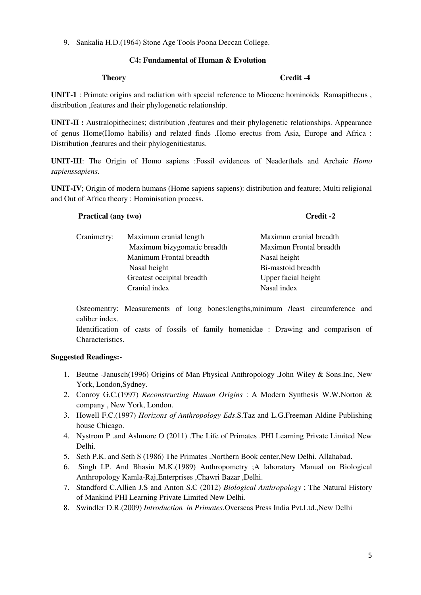9. Sankalia H.D.(1964) Stone Age Tools Poona Deccan College.

# **C4: Fundamental of Human & Evolution**

#### **Theory Credit -4**

**UNIT-1** : Primate origins and radiation with special reference to Miocene hominoids Ramapithecus , distribution ,features and their phylogenetic relationship.

**UNIT-II :** Australopithecines; distribution ,features and their phylogenetic relationships. Appearance of genus Home(Homo habilis) and related finds .Homo erectus from Asia, Europe and Africa : Distribution ,features and their phylogeniticstatus.

**UNIT-III**: The Origin of Homo sapiens :Fossil evidences of Neaderthals and Archaic *Homo sapienssapiens*.

**UNIT-IV**; Origin of modern humans (Home sapiens sapiens): distribution and feature; Multi religional and Out of Africa theory : Hominisation process.

# **Practical (any two)** Credit -2 Cranimetry: Maximum cranial length Maximun cranial breadth Maximum bizygomatic breadth Maximun Frontal breadth Manimum Frontal breadth Nasal height Nasal height Bi-mastoid breadth Greatest occipital breadth Upper facial height Cranial index Nasal index

Osteomentry: Measurements of long bones:lengths,minimum /least circumference and caliber index.

Identification of casts of fossils of family homenidae : Drawing and comparison of Characteristics.

- 1. Beutne -Janusch(1996) Origins of Man Physical Anthropology ,John Wiley & Sons.Inc, New York, London,Sydney.
- 2. Conroy G.C.(1997) *Reconstructing Human Origins* : A Modern Synthesis W.W.Norton & company , New York, London.
- 3. Howell F.C.(1997) *Horizons of Anthropology Eds*.S.Taz and L.G.Freeman Aldine Publishing house Chicago.
- 4. Nystrom P .and Ashmore O (2011) .The Life of Primates .PHI Learning Private Limited New Delhi.
- 5. Seth P.K. and Seth S (1986) The Primates .Northern Book center,New Delhi. Allahabad.
- 6. Singh I.P. And Bhasin M.K.(1989) Anthropometry ;A laboratory Manual on Biological Anthropology Kamla-Raj,Enterprises ,Chawri Bazar ,Delhi.
- 7. Standford C.Allien J.S and Anton S.C (2012) *Biological Anthropology* ; The Natural History of Mankind PHI Learning Private Limited New Delhi.
- 8. Swindler D.R.(2009) *Introduction in Primates*.Overseas Press India Pvt.Ltd.,New Delhi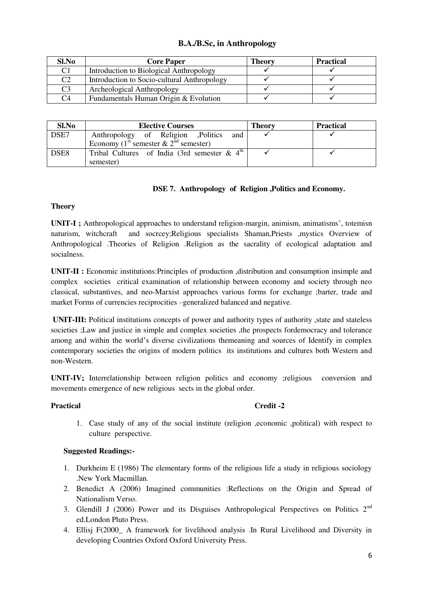# **B.A./B.Sc, in Anthropology**

| Sl.No          | <b>Core Paper</b>                           | Theory | <b>Practical</b> |
|----------------|---------------------------------------------|--------|------------------|
| $\rm C1$       | Introduction to Biological Anthropology     |        |                  |
| C <sub>2</sub> | Introduction to Socio-cultural Anthropology |        |                  |
| C <sub>3</sub> | Archeological Anthropology                  |        |                  |
| C <sub>4</sub> | Fundamentals Human Origin & Evolution       |        |                  |

| Sl.No            | <b>Elective Courses</b>                                     | <b>Theory</b> | <b>Practical</b> |
|------------------|-------------------------------------------------------------|---------------|------------------|
| DSE7             | Anthropology of Religion , Politics<br>and                  |               |                  |
|                  | Economy (1 <sup>st</sup> semester & $2nd$ semester)         |               |                  |
| DSE <sub>8</sub> | Tribal Cultures of India (3rd semester $\&$ 4 <sup>th</sup> |               |                  |
|                  | semester)                                                   |               |                  |

# **DSE 7. Anthropology of Religion ,Politics and Economy.**

### **Theory**

**UNIT-I ;** Anthropological approaches to understand religion-margin, animism, animatisms', totemisn naturism, witchcraft and socrcey;Religious specialists Shaman,Priests ,mystics Overview of Anthropological .Theories of Religion .Religion as the sacrality of ecological adaptation and socialness.

**UNIT-II :** Economic institutions:Principles of production ,distribution and consumption insimple and complex societies critical examination of relationship between economy and society through neo classical, substantives, and neo-Marxist approaches various forms for exchange ;barter, trade and market Forms of currencies reciprocities –generalized balanced and negative.

**UNIT-III:** Political institutions concepts of power and authority types of authority , state and stateless societies ; Law and justice in simple and complex societies , the prospects fordemocracy and tolerance among and within the world's diverse civilizations themeaning and sources of Identify in complex contemporary societies the origins of modern politics its institutions and cultures both Western and non-Western.

**UNIT-IV;** Interrelationship between religion politics and economy ;religious conversion and movements emergence of new religious sects in the global order.

# **Practical Credit -2**

1. Case study of any of the social institute (religion ,economic ,political) with respect to culture perspective.

- 1. Durkheim E (1986) The elementary forms of the religious life a study in religious sociology .New York Macmillan.
- 2. Benedict A (2006) Imagined communities :Reflections on the Origin and Spread of Nationalism Verso.
- 3. Glendill J (2006) Power and its Disguises Anthropological Perspectives on Politics 2nd ed.London Pluto Press.
- 4. Ellisj F(2000\_ A framework for livelihood analysis .In Rural Livelihood and Diversity in developing Countries Oxford Oxford University Press.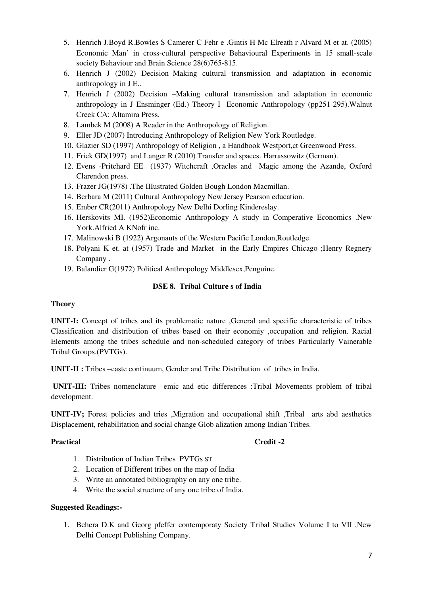- 5. Henrich J.Boyd R.Bowles S Camerer C Fehr e .Gintis H Mc Elreath r Alvard M et at. (2005) Economic Man' in cross-cultural perspective Behavioural Experiments in 15 small-scale society Behaviour and Brain Science 28(6)765-815.
- 6. Henrich J (2002) Decision–Making cultural transmission and adaptation in economic anthropology in J E..
- 7. Henrich J (2002) Decision –Making cultural transmission and adaptation in economic anthropology in J Ensminger (Ed.) Theory I Economic Anthropology (pp251-295).Walnut Creek CA: Altamira Press.
- 8. Lambek M (2008) A Reader in the Anthropology of Religion.
- 9. Eller JD (2007) Introducing Anthropology of Religion New York Routledge.
- 10. Glazier SD (1997) Anthropology of Religion , a Handbook Westport,ct Greenwood Press.
- 11. Frick GD(1997) and Langer R (2010) Transfer and spaces. Harrassowitz (German).
- 12. Evens -Pritchard EE (1937) Witchcraft ,Oracles and Magic among the Azande, Oxford Clarendon press.
- 13. Frazer JG(1978) .The IIIustrated Golden Bough London Macmillan.
- 14. Berbara M (2011) Cultural Anthropology New Jersey Pearson education.
- 15. Ember CR(2011) Anthropology New Delhi Dorling Kindereslay.
- 16. Herskovits MI. (1952)Economic Anthropology A study in Comperative Economics .New York.Alfried A KNofr inc.
- 17. Malinowski B (1922) Argonauts of the Western Pacific London,Routledge.
- 18. Polyani K et. at (1957) Trade and Market in the Early Empires Chicago ;Henry Regnery Company .
- 19. Balandier G(1972) Political Anthropology Middlesex,Penguine.

# **DSE 8. Tribal Culture s of India**

# **Theory**

**UNIT-I:** Concept of tribes and its problematic nature ,General and specific characteristic of tribes Classification and distribution of tribes based on their economiy ,occupation and religion. Racial Elements among the tribes schedule and non-scheduled category of tribes Particularly Vainerable Tribal Groups.(PVTGs).

**UNIT-II :** Tribes –caste continuum, Gender and Tribe Distribution of tribes in India.

 **UNIT-III:** Tribes nomenclature –emic and etic differences :Tribal Movements problem of tribal development.

**UNIT-IV;** Forest policies and tries ,Migration and occupational shift ,Tribal arts abd aesthetics Displacement, rehabilitation and social change Glob alization among Indian Tribes.

# Practical Credit -2

- 1. Distribution of Indian Tribes PVTGs ST
- 2. Location of Different tribes on the map of India
- 3. Write an annotated bibliography on any one tribe.
- 4. Write the social structure of any one tribe of India.

# **Suggested Readings:-**

1. Behera D.K and Georg pfeffer contemporaty Society Tribal Studies Volume I to VII ,New Delhi Concept Publishing Company.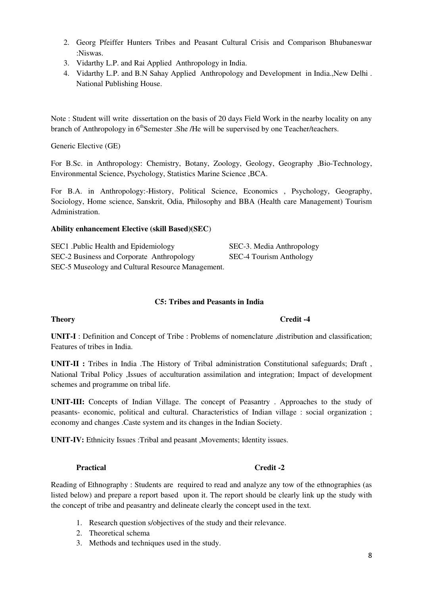- 2. Georg Pfeiffer Hunters Tribes and Peasant Cultural Crisis and Comparison Bhubaneswar :Niswas.
- 3. Vidarthy L.P. and Rai Applied Anthropology in India.
- 4. Vidarthy L.P. and B.N Sahay Applied Anthropology and Development in India., New Delhi. National Publishing House.

Note : Student will write dissertation on the basis of 20 days Field Work in the nearby locality on any branch of Anthropology in 6<sup>th</sup>Semester .She /He will be supervised by one Teacher/teachers.

Generic Elective (GE)

For B.Sc. in Anthropology: Chemistry, Botany, Zoology, Geology, Geography ,Bio-Technology, Environmental Science, Psychology, Statistics Marine Science ,BCA.

For B.A. in Anthropology:-History, Political Science, Economics , Psychology, Geography, Sociology, Home science, Sanskrit, Odia, Philosophy and BBA (Health care Management) Tourism Administration.

### **Ability enhancement Elective (skill Based)(SEC**)

SEC1 .Public Health and Epidemiology SEC-3. Media Anthropology SEC-2 Business and Corporate Anthropology SEC-4 Tourism Anthology SEC-5 Museology and Cultural Resource Management.

#### **C5: Tribes and Peasants in India**

**UNIT-I** : Definition and Concept of Tribe : Problems of nomenclature ,distribution and classification; Features of tribes in India.

**UNIT-II :** Tribes in India .The History of Tribal administration Constitutional safeguards; Draft , National Tribal Policy ,Issues of acculturation assimilation and integration; Impact of development schemes and programme on tribal life.

**UNIT-III:** Concepts of Indian Village. The concept of Peasantry . Approaches to the study of peasants- economic, political and cultural. Characteristics of Indian village : social organization ; economy and changes .Caste system and its changes in the Indian Society.

**UNIT-IV:** Ethnicity Issues :Tribal and peasant ,Movements; Identity issues.

#### **Practical Credit -2**

Reading of Ethnography : Students are required to read and analyze any tow of the ethnographies (as listed below) and prepare a report based upon it. The report should be clearly link up the study with the concept of tribe and peasantry and delineate clearly the concept used in the text.

- 1. Research question s/objectives of the study and their relevance.
- 2. Theoretical schema
- 3. Methods and techniques used in the study.

#### **Theory** Credit -4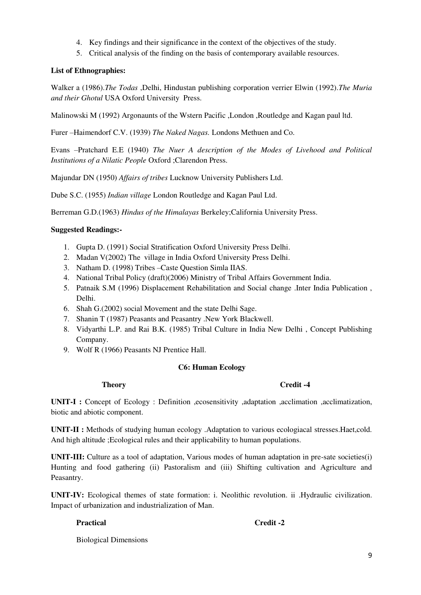- 4. Key findings and their significance in the context of the objectives of the study.
- 5. Critical analysis of the finding on the basis of contemporary available resources.

# **List of Ethnographies:**

Walker a (1986).*The Todas* ,Delhi, Hindustan publishing corporation verrier Elwin (1992).*The Muria and their Ghotul* USA Oxford University Press.

Malinowski M (1992) Argonaunts of the Wstern Pacific ,London ,Routledge and Kagan paul ltd.

Furer –Haimendorf C.V. (1939) *The Naked Nagas.* Londons Methuen and Co.

Evans –Pratchard E.E (1940) *The Nuer A description of the Modes of Livehood and Political Institutions of a Nilatic People* Oxford ;Clarendon Press.

Majundar DN (1950) *Affairs of tribes* Lucknow University Publishers Ltd.

Dube S.C. (1955) *Indian village* London Routledge and Kagan Paul Ltd.

Berreman G.D.(1963) *Hindus of the Himalayas* Berkeley;California University Press.

# **Suggested Readings:-**

- 1. Gupta D. (1991) Social Stratification Oxford University Press Delhi.
- 2. Madan V(2002) The village in India Oxford University Press Delhi.
- 3. Natham D. (1998) Tribes –Caste Question Simla IIAS.
- 4. National Tribal Policy (draft)(2006) Ministry of Tribal Affairs Government India.
- 5. Patnaik S.M (1996) Displacement Rehabilitation and Social change .Inter India Publication , Delhi.
- 6. Shah G.(2002) social Movement and the state Delhi Sage.
- 7. Shanin T (1987) Peasants and Peasantry .New York Blackwell.
- 8. Vidyarthi L.P. and Rai B.K. (1985) Tribal Culture in India New Delhi , Concept Publishing Company.
- 9. Wolf R (1966) Peasants NJ Prentice Hall.

# **C6: Human Ecology**

# **Theory** Credit -4

**UNIT-I :** Concept of Ecology : Definition ,ecosensitivity ,adaptation ,acclimation ,acclimatization, biotic and abiotic component.

**UNIT-II :** Methods of studying human ecology .Adaptation to various ecologiacal stresses.Haet,cold. And high altitude ;Ecological rules and their applicability to human populations.

**UNIT-III:** Culture as a tool of adaptation, Various modes of human adaptation in pre-sate societies(i) Hunting and food gathering (ii) Pastoralism and (iii) Shifting cultivation and Agriculture and Peasantry.

**UNIT-IV:** Ecological themes of state formation: i. Neolithic revolution. ii .Hydraulic civilization. Impact of urbanization and industrialization of Man.

# Practical **Credit -2**

Biological Dimensions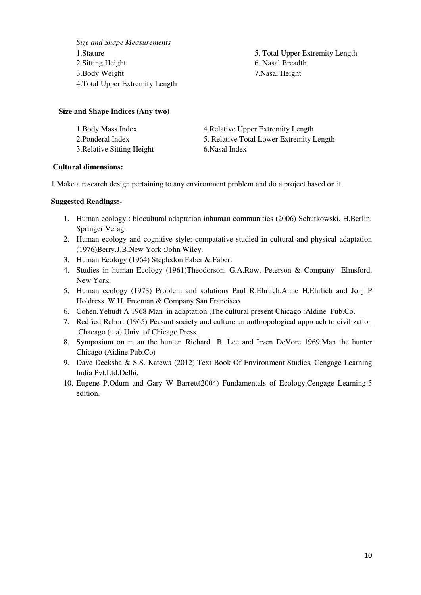*Size and Shape Measurements*  2. Sitting Height 6. Nasal Breadth 3.Body Weight 7.Nasal Height 4.Total Upper Extremity Length

1.Stature 5. Total Upper Extremity Length

### **Size and Shape Indices (Any two)**

| 1. Body Mass Index         | 4. Relative Upper Extremity Length       |
|----------------------------|------------------------------------------|
| 2. Ponderal Index          | 5. Relative Total Lower Extremity Length |
| 3. Relative Sitting Height | 6. Nasal Index                           |

### **Cultural dimensions:**

1.Make a research design pertaining to any environment problem and do a project based on it.

- 1. Human ecology : biocultural adaptation inhuman communities (2006) Schutkowski. H.Berlin. Springer Verag.
- 2. Human ecology and cognitive style: compatative studied in cultural and physical adaptation (1976)Berry.J.B.New York :John Wiley.
- 3. Human Ecology (1964) Stepledon Faber & Faber.
- 4. Studies in human Ecology (1961)Theodorson, G.A.Row, Peterson & Company Elmsford, New York.
- 5. Human ecology (1973) Problem and solutions Paul R.Ehrlich.Anne H.Ehrlich and Jonj P Holdress. W.H. Freeman & Company San Francisco.
- 6. Cohen.Yehudt A 1968 Man in adaptation ;The cultural present Chicago :Aldine Pub.Co.
- 7. Redfied Rebort (1965) Peasant society and culture an anthropological approach to civilization .Chacago (u.a) Univ .of Chicago Press.
- 8. Symposium on m an the hunter ,Richard B. Lee and Irven DeVore 1969.Man the hunter Chicago (Aidine Pub.Co)
- 9. Dave Deeksha & S.S. Katewa (2012) Text Book Of Environment Studies, Cengage Learning India Pvt.Ltd.Delhi.
- 10. Eugene P.Odum and Gary W Barrett(2004) Fundamentals of Ecology.Cengage Learning:5 edition.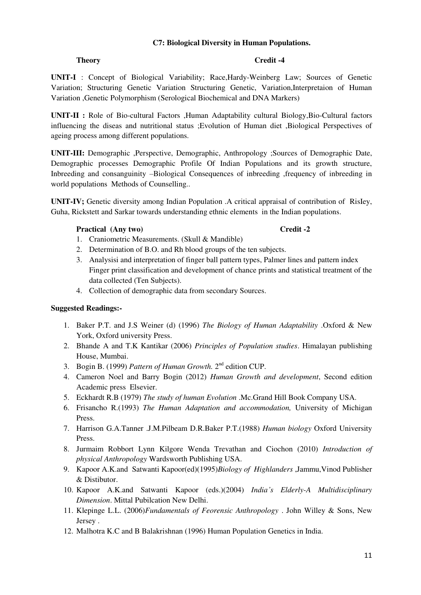# **C7: Biological Diversity in Human Populations.**

# **Theory** Credit -4

**UNIT-I** : Concept of Biological Variability; Race,Hardy-Weinberg Law; Sources of Genetic Variation; Structuring Genetic Variation Structuring Genetic, Variation,Interpretaion of Human Variation ,Genetic Polymorphism (Serological Biochemical and DNA Markers)

**UNIT-II :** Role of Bio-cultural Factors ,Human Adaptability cultural Biology,Bio-Cultural factors influencing the diseas and nutritional status ;Evolution of Human diet ,Biological Perspectives of ageing process among different populations.

**UNIT-III:** Demographic ,Perspective, Demographic, Anthropology ;Sources of Demographic Date, Demographic processes Demographic Profile Of Indian Populations and its growth structure, Inbreeding and consanguinity –Biological Consequences of inbreeding ,frequency of inbreeding in world populations Methods of Counselling..

**UNIT-IV;** Genetic diversity among Indian Population .A critical appraisal of contribution of RisIey, Guha, Rickstett and Sarkar towards understanding ethnic elements in the Indian populations.

# **Practical (Any two)** Credit -2

- 1. Craniometric Measurements. (Skull & Mandible)
- 2. Determination of B.O. and Rh blood groups of the ten subjects.
- 3. Analysisi and interpretation of finger ball pattern types, Palmer lines and pattern index Finger print classification and development of chance prints and statistical treatment of the data collected (Ten Subjects).
- 4. Collection of demographic data from secondary Sources.

- 1. Baker P.T. and J.S Weiner (d) (1996) *The Biology of Human Adaptability* .Oxford & New York, Oxford university Press.
- 2. Bhande A and T.K Kantikar (2006) *Principles of Population studies*. Himalayan publishing House, Mumbai.
- 3. Bogin B. (1999) *Pattern of Human Growth.* 2nd edition CUP.
- 4. Cameron Noel and Barry Bogin (2012) *Human Growth and development*, Second edition Academic press Elsevier.
- 5. Eckhardt R.B (1979) *The study of human Evolution* .Mc.Grand Hill Book Company USA.
- 6. Frisancho R.(1993) *The Human Adaptation and accommodation,* University of Michigan Press.
- 7. Harrison G.A.Tanner .J.M.Pilbeam D.R.Baker P.T.(1988) *Human biology* Oxford University Press.
- 8. Jurmaim Robbort Lynn Kilgore Wenda Trevathan and Ciochon (2010) *Introduction of physical Anthropology* Wardsworth Publishing USA.
- 9. Kapoor A.K.and Satwanti Kapoor(ed)(1995)*Biology of Highlanders* ,Jammu,Vinod Publisher & Distibutor.
- 10. Kapoor A.K.and Satwanti Kapoor (eds.)(2004) *India's Elderly-A Multidisciplinary Dimension*. Mittal Pubilcation New Delhi.
- 11. Klepinge L.L. (2006)*Fundamentals of Feorensic Anthropology* . John Willey & Sons, New Jersey .
- 12. Malhotra K.C and B Balakrishnan (1996) Human Population Genetics in India.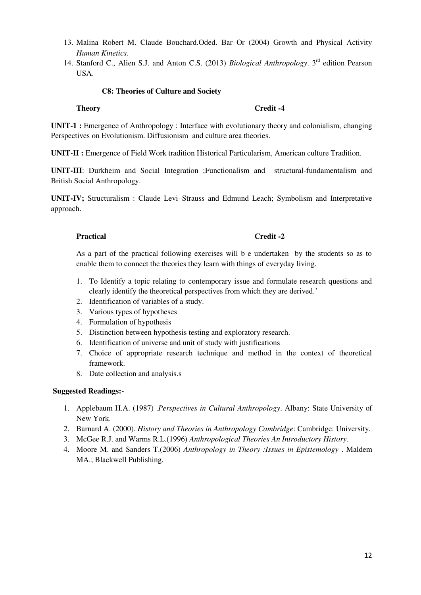- 13. Malina Robert M. Claude Bouchard.Oded. Bar–Or (2004) Growth and Physical Activity *Human Kinetics*.
- 14. Stanford C., Alien S.J. and Anton C.S. (2013) *Biological Anthropology*. 3rd edition Pearson USA.

# **C8: Theories of Culture and Society**

### **Theory Credit -4**

**UNIT-1 :** Emergence of Anthropology : Interface with evolutionary theory and colonialism, changing Perspectives on Evolutionism. Diffusionism and culture area theories.

**UNIT-II :** Emergence of Field Work tradition Historical Particularism, American culture Tradition.

**UNIT-III**: Durkheim and Social Integration ;Functionalism and structural-fundamentalism and British Social Anthropology.

**UNIT-IV;** Structuralism : Claude Levi–Strauss and Edmund Leach; Symbolism and Interpretative approach.

### Practical Credit -2

As a part of the practical following exercises will b e undertaken by the students so as to enable them to connect the theories they learn with things of everyday living.

- 1. To Identify a topic relating to contemporary issue and formulate research questions and clearly identify the theoretical perspectives from which they are derived.'
- 2. Identification of variables of a study.
- 3. Various types of hypotheses
- 4. Formulation of hypothesis
- 5. Distinction between hypothesis testing and exploratory research.
- 6. Identification of universe and unit of study with justifications
- 7. Choice of appropriate research technique and method in the context of theoretical framework.
- 8. Date collection and analysis.s

- 1. Applebaum H.A. (1987) .*Perspectives in Cultural Anthropology*. Albany: State University of New York.
- 2. Barnard A. (2000). *History and Theories in Anthropology Cambridge*: Cambridge: University.
- 3. McGee R.J. and Warms R.L.(1996) *Anthropological Theories An Introductory History*.
- 4. Moore M. and Sanders T.(2006) *Anthropology in Theory :Issues in Epistemology* . Maldem MA.; Blackwell Publishing.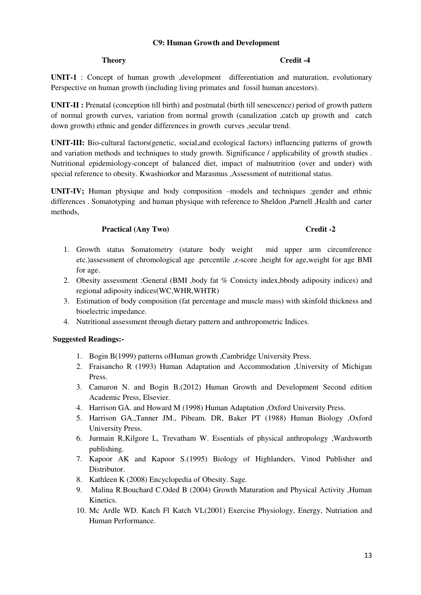### **C9: Human Growth and Development**

### **Theory** Credit -4

**UNIT-1** : Concept of human growth ,development differentiation and maturation, evolutionary Perspective on human growth (including living primates and fossil human ancestors).

**UNIT-II :** Prenatal (conception till birth) and postmatal (birth till senescence) period of growth pattern of normal growth curves, variation from normal growth (canalization ,catch up growth and catch down growth) ethnic and gender differences in growth curves ,secular trend.

**UNIT-III:** Bio-cultural factors(genetic, social,and ecological factors) influencing patterns of growth and variation methods and techniques to study growth. Significance / applicability of growth studies . Nutritional epidemiology-concept of balanced diet, impact of malnutrition (over and under) with special reference to obesity. Kwashiorkor and Marasmus ,Assessment of nutritional status.

**UNIT-IV;** Human physique and body composition –models and techniques ;gender and ethnic differences . Somatotyping and human physique with reference to Sheldon ,Parnell ,Health and carter methods,

### **Practical (Any Two)** Credit -2

- 1. Growth status Somatometry (stature body weight mid upper arm circumference etc.)assessment of chromological age .percentile ,z-score ,height for age,weight for age BMI for age.
- 2. Obesity assessment :General (BMI ,body fat % Consicty index,bbody adiposity indices) and regional adiposity indices(WC,WHR,WHTR)
- 3. Estimation of body composition (fat percentage and muscle mass) with skinfold thickness and bioelectric impedance.
- 4. Nutritional assessment through dietary pattern and anthropometric Indices.

- 1. Bogin B(1999) patterns ofHuman growth ,Cambridge University Press.
- 2. Fraisancho R (1993) Human Adaptation and Accommodation ,University of Michigan Press.
- 3. Camaron N. and Bogin B.(2012) Human Growth and Development Second edition Academic Press, Elsevier.
- 4. Harrison GA. and Howard M (1998) Human Adaptation ,Oxford University Press.
- 5. Harrison GA.,Tanner JM., Pibeam. DR, Baker PT (1988) Human Biology ,Oxford University Press.
- 6. Jurmain R,Kilgore L, Trevatham W. Essentials of physical anthropology ,Wardsworth publishing.
- 7. Kapoor AK and Kapoor S.(1995) Biology of Highlanders, Vinod Publisher and Distributor.
- 8. Kathleen K (2008) Encyclopedia of Obesity. Sage.
- 9. Malina R.Bouchard C.Oded B (2004) Growth Maturation and Physical Activity ,Human Kinetics.
- 10. Mc Ardle WD. Katch Fl Katch VL(2001) Exercise Physiology, Energy, Nutriation and Human Performance.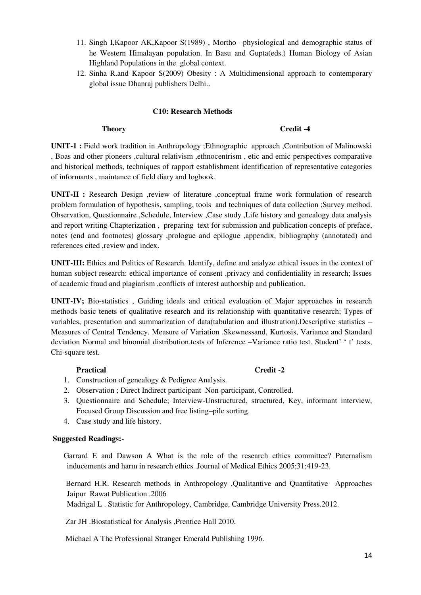- 11. Singh I,Kapoor AK,Kapoor S(1989) , Mortho –physiological and demographic status of he Western Himalayan population. In Basu and Gupta(eds.) Human Biology of Asian Highland Populations in the global context.
- 12. Sinha R.and Kapoor S(2009) Obesity : A Multidimensional approach to contemporary global issue Dhanraj publishers Delhi..

### **C10: Research Methods**

#### **Theory Credit -4**

**UNIT-1 :** Field work tradition in Anthropology ;Ethnographic approach ,Contribution of Malinowski , Boas and other pioneers ,cultural relativism ,ethnocentrism , etic and emic perspectives comparative and historical methods, techniques of rapport establishment identification of representative categories of informants , maintance of field diary and logbook.

**UNIT-II :** Research Design ,review of literature ,conceptual frame work formulation of research problem formulation of hypothesis, sampling, tools and techniques of data collection ;Survey method. Observation, Questionnaire ,Schedule, Interview ,Case study ,Life history and genealogy data analysis and report writing-Chapterization , preparing text for submission and publication concepts of preface, notes (end and footnotes) glossary ,prologue and epilogue ,appendix, bibliography (annotated) and references cited ,review and index.

**UNIT-III:** Ethics and Politics of Research. Identify, define and analyze ethical issues in the context of human subject research: ethical importance of consent .privacy and confidentiality in research; Issues of academic fraud and plagiarism ,conflicts of interest authorship and publication.

**UNIT-IV;** Bio-statistics , Guiding ideals and critical evaluation of Major approaches in research methods basic tenets of qualitative research and its relationship with quantitative research; Types of variables, presentation and summarization of data(tabulation and illustration).Descriptive statistics – Measures of Central Tendency. Measure of Variation .Skewnessand, Kurtosis, Variance and Standard deviation Normal and binomial distribution.tests of Inference –Variance ratio test. Student' ' t' tests, Chi-square test.

# Practical Credit -2

- 1. Construction of genealogy & Pedigree Analysis.
- 2. Observation ; Direct Indirect participant Non-participant, Controlled.
- 3. Questionnaire and Schedule; Interview-Unstructured, structured, Key, informant interview, Focused Group Discussion and free listing–pile sorting.
- 4. Case study and life history.

# **Suggested Readings:-**

Garrard E and Dawson A What is the role of the research ethics committee? Paternalism inducements and harm in research ethics .Journal of Medical Ethics 2005;31;419-23.

 Bernard H.R. Research methods in Anthropology ,Qualitantive and Quantitative Approaches Jaipur Rawat Publication .2006

Madrigal L . Statistic for Anthropology, Cambridge, Cambridge University Press.2012.

Zar JH .Biostatistical for Analysis ,Prentice Hall 2010.

Michael A The Professional Stranger Emerald Publishing 1996.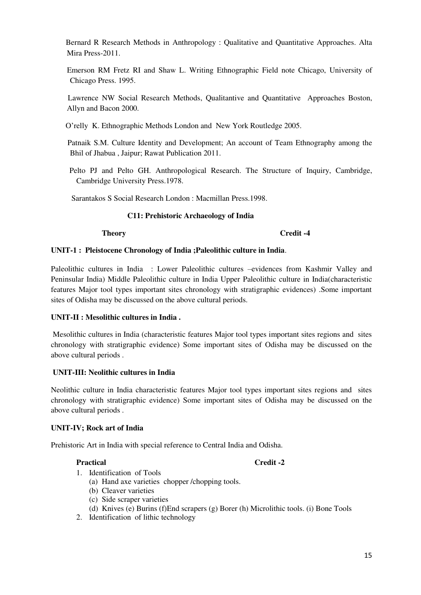Bernard R Research Methods in Anthropology : Qualitative and Quantitative Approaches. Alta Mira Press-2011.

 Emerson RM Fretz RI and Shaw L. Writing Ethnographic Field note Chicago, University of Chicago Press. 1995.

 Lawrence NW Social Research Methods, Qualitantive and Quantitative Approaches Boston, Allyn and Bacon 2000.

O'relly K. Ethnographic Methods London and New York Routledge 2005.

 Patnaik S.M. Culture Identity and Development; An account of Team Ethnography among the Bhil of Jhabua , Jaipur; Rawat Publication 2011.

 Pelto PJ and Pelto GH. Anthropological Research. The Structure of Inquiry, Cambridge, Cambridge University Press.1978.

Sarantakos S Social Research London : Macmillan Press.1998.

### **C11: Prehistoric Archaeology of India**

**Theory** Credit -4

#### **UNIT-1 : Pleistocene Chronology of India ;Paleolithic culture in India**.

Paleolithic cultures in India : Lower Paleolithic cultures –evidences from Kashmir Valley and Peninsular India) Middle Paleolithic culture in India Upper Paleolithic culture in India(characteristic features Major tool types important sites chronology with stratigraphic evidences) .Some important sites of Odisha may be discussed on the above cultural periods.

#### **UNIT-II : Mesolithic cultures in India .**

 Mesolithic cultures in India (characteristic features Major tool types important sites regions and sites chronology with stratigraphic evidence) Some important sites of Odisha may be discussed on the above cultural periods .

#### **UNIT-III: Neolithic cultures in India**

Neolithic culture in India characteristic features Major tool types important sites regions and sites chronology with stratigraphic evidence) Some important sites of Odisha may be discussed on the above cultural periods .

#### **UNIT-IV; Rock art of India**

Prehistoric Art in India with special reference to Central India and Odisha.

#### **Practical Credit -2**

- 1. Identification of Tools
	- (a) Hand axe varieties chopper /chopping tools.
	- (b) Cleaver varieties
	- (c) Side scraper varieties
	- (d) Knives (e) Burins (f)End scrapers (g) Borer (h) Microlithic tools. (i) Bone Tools
- 2. Identification of lithic technology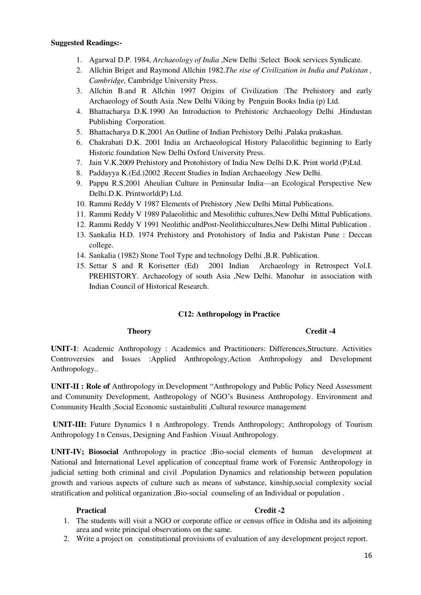#### **Suggested Readings:-**

- 1. Agarwal D.P. 1984, *Archaeology of India* ,New Delhi :Select Book services Syndicate.
- 2. Allchin Briget and Raymond Allchin 1982.*The rise of Civilization in India and Pakistan , Cambridge,* Cambridge University Press.
- 3. Allchin B.and R Allchin 1997 Origins of Civilization :The Prehistory and early Archaeology of South Asia .New Delhi Viking by Penguin Books India (p) Ltd.
- 4. Bhattacharya D.K.1990 An Introduction to Prehistoric Archaeology Delhi ,Hindustan Publishing Corporation.
- 5. Bhattacharya D.K.2001 An Outline of Indian Prehistory Delhi ,Palaka prakashan.
- 6. Chakrabati D.K. 2001 India an Archaeological History Palaeolithic beginning to Early Historic foundation New Delhi Oxford University Press.
- 7. Jain V.K.2009 Prehistory and Protohistory of India New Delhi D.K. Print world (P)Ltd.
- 8. Paddayya K.(Ed.)2002 .Recent Studies in Indian Archaeology .New Delhi.
- 9. Pappu R.S.2001 Aheulian Culture in Peninsular India—an Ecological Perspective New Delhi.D.K. Printworld(P) Ltd.
- 10. Rammi Reddy V 1987 Elements of Prehistory ,New Delhi Mittal Publications.
- 11. Rammi Reddy V 1989 Palaeolithic and Mesolithic cultures,New Delhi Mittal Publications.
- 12. Rammi Reddy V 1991 Neolithic andPost-Neolithiccultures,New Delhi Mittal Publication .
- 13. Sankalia H.D. 1974 Prehistory and Protohistory of India and Pakistan Pune : Deccan college.
- 14. Sankalia (1982) Stone Tool Type and technology Delhi ,B.R. Publication.
- 15. Settar S and R Korisetter (Ed) 2001 Indian Archaeology in Retrospect Vol.I. PREHISTORY. Archaeology of south Asia ,New Delhi. Manohar in association with Indian Council of Historical Research.

#### **C12: Anthropology in Practice**

#### **Theory Credit -4**

**UNIT-1**: Academic Anthropology : Academics and Practitioners: Differences,Structure. Activities Controversies and Issues :Applied Anthropology,Action Anthropology and Development Anthropology..

**UNIT-II : Role of** Anthropology in Development "Anthropology and Public Policy Need Assessment and Community Development, Anthropology of NGO's Business Anthropology. Environment and Community Health ,Social Economic sustainbaliti ,Cultural resource management

**UNIT-III:** Future Dynamics I n Anthropology. Trends Anthropology; Anthropology of Tourism Anthropology I n Census, Designing And Fashion .Visual Anthropology.

**UNIT-IV; Biosocial** Anthropology in practice ;Bio-social elements of human development at National and International Level application of conceptual frame work of Forensic Anthropology in judicial setting both criminal and civil .Population Dynamics and relationship between population growth and various aspects of culture such as means of substance, kinship,social complexity social stratification and political organization ,Bio-social counseling of an Individual or population .

#### Practical **Credit -2**

- 1. The students will visit a NGO or corporate office or census office in Odisha and its adjoining area and write principal observations on the same.
- 2. Write a project on constitutional provisions of evaluation of any development project report.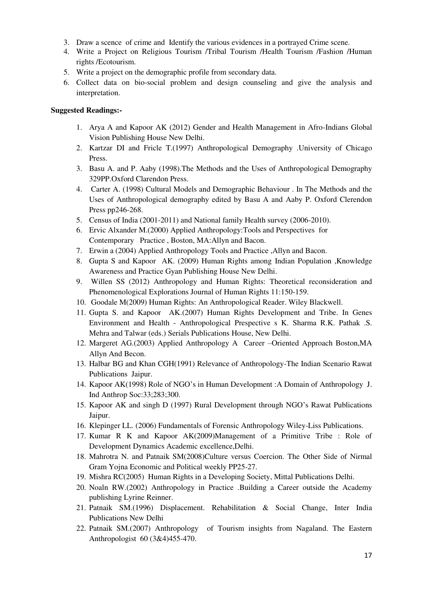- 3. Draw a scence of crime and Identify the various evidences in a portrayed Crime scene.
- 4. Write a Project on Religious Tourism /Tribal Tourism /Health Tourism /Fashion /Human rights /Ecotourism.
- 5. Write a project on the demographic profile from secondary data.
- 6. Collect data on bio-social problem and design counseling and give the analysis and interpretation.

- 1. Arya A and Kapoor AK (2012) Gender and Health Management in Afro-Indians Global Vision Publishing House New Delhi.
- 2. Kartzar DI and Fricle T.(1997) Anthropological Demography .University of Chicago Press.
- 3. Basu A. and P. Aaby (1998).The Methods and the Uses of Anthropological Demography 329PP.Oxford Clarendon Press.
- 4. Carter A. (1998) Cultural Models and Demographic Behaviour . In The Methods and the Uses of Anthropological demography edited by Basu A and Aaby P. Oxford Clerendon Press pp246-268.
- 5. Census of India (2001-2011) and National family Health survey (2006-2010).
- 6. Ervic Alxander M.(2000) Applied Anthropology:Tools and Perspectives for Contemporary Practice , Boston, MA:Allyn and Bacon.
- 7. Erwin a (2004) Applied Anthropology Tools and Practice ,Allyn and Bacon.
- 8. Gupta S and Kapoor AK. (2009) Human Rights among Indian Population ,Knowledge Awareness and Practice Gyan Publishing House New Delhi.
- 9. Willen SS (2012) Anthropology and Human Rights: Theoretical reconsideration and Phenomenological Explorations Journal of Human Rights 11:150-159.
- 10. Goodale M(2009) Human Rights: An Anthropological Reader. Wiley Blackwell.
- 11. Gupta S. and Kapoor AK.(2007) Human Rights Development and Tribe. In Genes Environment and Health - Anthropological Prespective s K. Sharma R.K. Pathak .S. Mehra and Talwar (eds.) Serials Publications House, New Delhi.
- 12. Margeret AG.(2003) Applied Anthropology A Career –Oriented Approach Boston,MA Allyn And Becon.
- 13. Halbar BG and Khan CGH(1991) Relevance of Anthropology-The Indian Scenario Rawat Publications Jaipur.
- 14. Kapoor AK(1998) Role of NGO's in Human Development :A Domain of Anthropology J. Ind Anthrop Soc:33;283;300.
- 15. Kapoor AK and singh D (1997) Rural Development through NGO's Rawat Publications Jaipur.
- 16. Klepinger LL. (2006) Fundamentals of Forensic Anthropology Wiley-Liss Publications.
- 17. Kumar R K and Kapoor AK(2009)Management of a Primitive Tribe : Role of Development Dynamics Academic excellence,Delhi.
- 18. Mahrotra N. and Patnaik SM(2008)Culture versus Coercion. The Other Side of Nirmal Gram Yojna Economic and Political weekly PP25-27.
- 19. Mishra RC(2005) Human Rights in a Developing Society, Mittal Publications Delhi.
- 20. Noaln RW.(2002) Anthropology in Practice .Building a Career outside the Academy publishing Lyrine Reinner.
- 21. Patnaik SM.(1996) Displacement. Rehabilitation & Social Change, Inter India Publications New Delhi
- 22. Patnaik SM.(2007) Anthropology of Tourism insights from Nagaland. The Eastern Anthropologist 60 (3&4)455-470.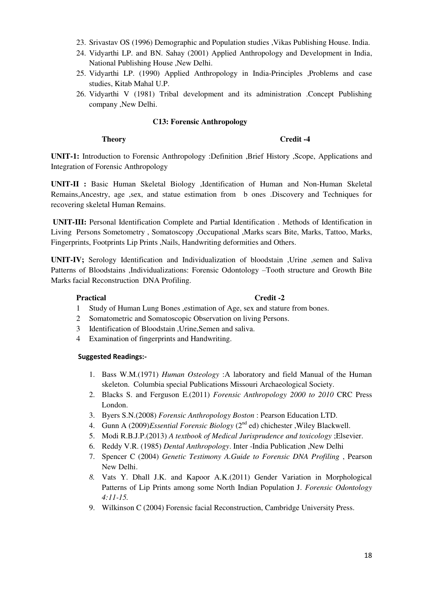- 23. Srivastav OS (1996) Demographic and Population studies ,Vikas Publishing House. India.
- 24. Vidyarthi LP. and BN. Sahay (2001) Applied Anthropology and Development in India, National Publishing House ,New Delhi.
- 25. Vidyarthi LP. (1990) Applied Anthropology in India-Principles ,Problems and case studies, Kitab Mahal U.P.
- 26. Vidyarthi V (1981) Tribal development and its administration .Concept Publishing company ,New Delhi.

# **C13: Forensic Anthropology**

#### **Theory** Credit -4

**UNIT-1:** Introduction to Forensic Anthropology :Definition ,Brief History ,Scope, Applications and Integration of Forensic Anthropology

**UNIT-II :** Basic Human Skeletal Biology ,Identification of Human and Non-Human Skeletal Remains,Ancestry, age ,sex, and statue estimation from b ones .Discovery and Techniques for recovering skeletal Human Remains.

 **UNIT-III:** Personal Identification Complete and Partial Identification . Methods of Identification in Living Persons Sometometry , Somatoscopy ,Occupational ,Marks scars Bite, Marks, Tattoo, Marks, Fingerprints, Footprints Lip Prints ,Nails, Handwriting deformities and Others.

**UNIT-IV;** Serology Identification and Individualization of bloodstain ,Urine ,semen and Saliva Patterns of Bloodstains ,Individualizations: Forensic Odontology –Tooth structure and Growth Bite Marks facial Reconstruction DNA Profiling.

#### Practical Credit -2

- 1 Study of Human Lung Bones ,estimation of Age, sex and stature from bones.
- 2 Somatometric and Somatoscopic Observation on living Persons.
- 3 Identification of Bloodstain ,Urine,Semen and saliva.
- 4 Examination of fingerprints and Handwriting.

- 1. Bass W.M.(1971) *Human Osteology* :A laboratory and field Manual of the Human skeleton. Columbia special Publications Missouri Archaeological Society.
- 2. Blacks S. and Ferguson E.(2011) *Forensic Anthropology 2000 to 2010* CRC Press London.
- 3. Byers S.N.(2008) *Forensic Anthropology Boston* : Pearson Education LTD.
- 4. Gunn A (2009)*Essential Forensic Biology* (2<sup>nd</sup> ed) chichester , Wiley Blackwell.
- 5. Modi R.B.J.P.(2013) *A textbook of Medical Jurisprudence and toxicology* ;Elsevier.
- 6. Reddy V.R. (1985) *Dental Anthropology*. Inter -India Publication ,New Delhi
- 7. Spencer C (2004) *Genetic Testimony A.Guide to Forensic DNA Profiling* , Pearson New Delhi.
- *8.* Vats Y. Dhall J.K. and Kapoor A.K.(2011) Gender Variation in Morphological Patterns of Lip Prints among some North Indian Population J. *Forensic Odontology 4:11-15.*
- 9. Wilkinson C (2004) Forensic facial Reconstruction, Cambridge University Press.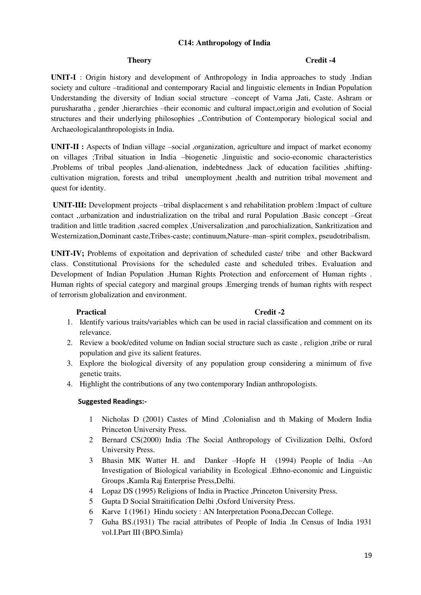### **C14: Anthropology of India**

#### **Theory** Credit -4

**UNIT-I** : Origin history and development of Anthropology in India approaches to study .Indian society and culture –traditional and contemporary Racial and linguistic elements in Indian Population Understanding the diversity of Indian social structure –concept of Varna ,Jati, Caste. Ashram or purusharatha , gender ,hierarchies –their economic and cultural impact,origin and evolution of Social structures and their underlying philosophies ,.Contribution of Contemporary biological social and Archaeologicalanthropologists in India.

**UNIT-II :** Aspects of Indian village –social ,organization, agriculture and impact of market economy on villages ;Tribal situation in India –biogenetic ,linguistic and socio-economic characteristics .Problems of tribal peoples ,land-alienation, indebtedness ,lack of education facilities ,shiftingcultivation migration, forests and tribal unemployment ,health and nutrition tribal movement and quest for identity.

**UNIT-III:** Development projects –tribal displacement s and rehabilitation problem :Impact of culture contact ,,urbanization and industrialization on the tribal and rural Population .Basic concept –Great tradition and little tradition ,sacred complex ,Universalization ,and parochialization, Sankritization and Westernization,Dominant caste,Tribes-caste; continuum,Nature–man–spirit complex, pseudotribalism.

**UNIT-IV;** Problems of expoitation and deprivation of scheduled caste/ tribe and other Backward class. Constitutional Provisions for the scheduled caste and scheduled tribes. Evaluation and Development of Indian Population .Human Rights Protection and enforcement of Human rights . Human rights of special category and marginal groups .Emerging trends of human rights with respect of terrorism globalization and environment.

#### Practical Credit -2

- 1. Identify various traits/variables which can be used in racial classification and comment on its relevance.
- 2. Review a book/edited volume on Indian social structure such as caste , religion ,tribe or rural population and give its salient features.
- 3. Explore the biological diversity of any population group considering a minimum of five genetic traits.
- 4. Highlight the contributions of any two contemporary Indian anthropologists.

- 1 Nicholas D (2001) Castes of Mind ,Colonialisn and th Making of Modern India Princeton University Press.
- 2 Bernard CS(2000) India :The Social Anthropology of Civilization Delhi, Oxford University Press.
- 3 Bhasin MK Watter H. and Danker –Hopfe H (1994) People of India –An Investigation of Biological variability in Ecological .Ethno-economic and Linguistic Groups ,Kamla Raj Enterprise Press,Delhi.
- 4 Lopaz DS (1995) Religions of India in Practice ,Princeton University Press.
- 5 Gupta D Social Straitification Delhi ,Oxford University Press.
- 6 Karve I (1961) Hindu society : AN Interpretation Poona,Deccan College.
- 7 Guha BS.(1931) The racial attributes of People of India .In Census of India 1931 vol.I.Part III (BPO.Simla)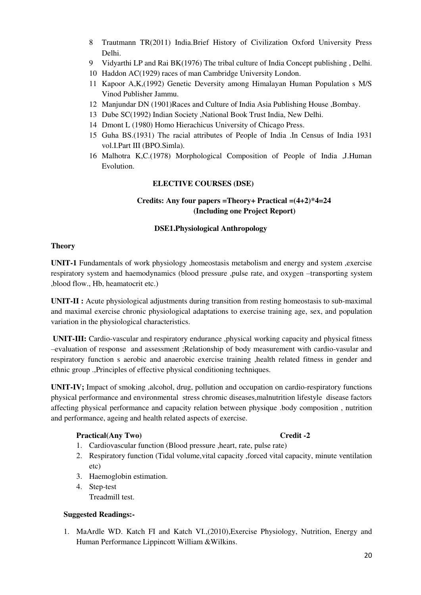- 8 Trautmann TR(2011) India.Brief History of Civilization Oxford University Press Delhi.
- 9 Vidyarthi LP and Rai BK(1976) The tribal culture of India Concept publishing , Delhi.
- 10 Haddon AC(1929) races of man Cambridge University London.
- 11 Kapoor A,K,(1992) Genetic Deversity among Himalayan Human Population s M/S Vinod Publisher Jammu.
- 12 Manjundar DN (1901)Races and Culture of India Asia Publishing House ,Bombay.
- 13 Dube SC(1992) Indian Society ,National Book Trust India, New Delhi.
- 14 Dmont L (1980) Homo Hierachicus University of Chicago Press.
- 15 Guha BS.(1931) The racial attributes of People of India .In Census of India 1931 vol.I.Part III (BPO.Simla).
- 16 Malhotra K,C.(1978) Morphological Composition of People of India ,J.Human Evolution.

# **ELECTIVE COURSES (DSE)**

# **Credits: Any four papers =Theory+ Practical =(4+2)\*4=24 (Including one Project Report)**

# **DSE1.Physiological Anthropology**

# **Theory**

**UNIT-1** Fundamentals of work physiology ,homeostasis metabolism and energy and system ,exercise respiratory system and haemodynamics (blood pressure ,pulse rate, and oxygen –transporting system ,blood flow., Hb, heamatocrit etc.)

**UNIT-II :** Acute physiological adjustments during transition from resting homeostasis to sub-maximal and maximal exercise chronic physiological adaptations to exercise training age, sex, and population variation in the physiological characteristics.

**UNIT-III:** Cardio-vascular and respiratory endurance ,physical working capacity and physical fitness –evaluation of response and assessment ;Relationship of body measurement with cardio-vasular and respiratory function s aerobic and anaerobic exercise training ,health related fitness in gender and ethnic group .,Principles of effective physical conditioning techniques.

**UNIT-IV;** Impact of smoking ,alcohol, drug, pollution and occupation on cardio-respiratory functions physical performance and environmental stress chromic diseases,malnutrition lifestyle disease factors affecting physical performance and capacity relation between physique .body composition , nutrition and performance, ageing and health related aspects of exercise.

# Practical(Any Two) Credit -2

- 1. Cardiovascular function (Blood pressure ,heart, rate, pulse rate)
- 2. Respiratory function (Tidal volume,vital capacity ,forced vital capacity, minute ventilation etc)
- 3. Haemoglobin estimation.
- 4. Step-test Treadmill test.

# **Suggested Readings:-**

1. MaArdle WD. Katch FI and Katch VI.,(2010),Exercise Physiology, Nutrition, Energy and Human Performance Lippincott William &Wilkins.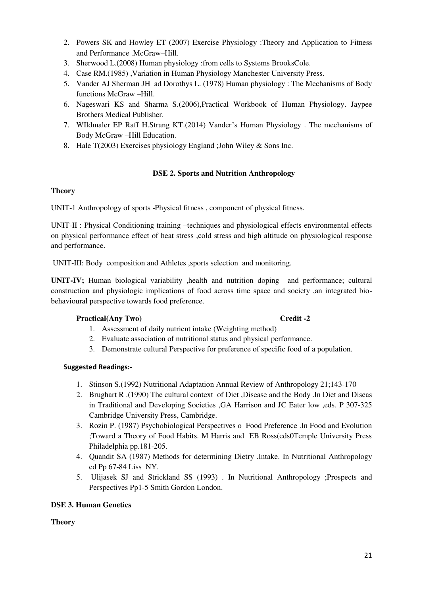- 2. Powers SK and Howley ET (2007) Exercise Physiology :Theory and Application to Fitness and Performance .McGraw–Hill.
- 3. Sherwood L.(2008) Human physiology :from cells to Systems BrooksCole.
- 4. Case RM.(1985) ,Variation in Human Physiology Manchester University Press.
- 5. Vander AJ Sherman JH ad Dorothys L. (1978) Human physiology : The Mechanisms of Body functions McGraw –Hill.
- 6. Nageswari KS and Sharma S.(2006),Practical Workbook of Human Physiology. Jaypee Brothers Medical Publisher.
- 7. WIldmaler EP Raff H.Strang KT.(2014) Vander's Human Physiology . The mechanisms of Body McGraw –Hill Education.
- 8. Hale T(2003) Exercises physiology England ;John Wiley & Sons Inc.

# **DSE 2. Sports and Nutrition Anthropology**

# **Theory**

UNIT-1 Anthropology of sports -Physical fitness , component of physical fitness.

UNIT-II : Physical Conditioning training –techniques and physiological effects environmental effects on physical performance effect of heat stress ,cold stress and high altitude on physiological response and performance.

UNIT-III: Body composition and Athletes ,sports selection and monitoring.

**UNIT-IV;** Human biological variability ,health and nutrition doping and performance; cultural construction and physiologic implications of food across time space and society ,an integrated biobehavioural perspective towards food preference.

# Practical(Any Two) Credit -2

- 1. Assessment of daily nutrient intake (Weighting method)
- 2. Evaluate association of nutritional status and physical performance.
- 3. Demonstrate cultural Perspective for preference of specific food of a population.

# **Suggested Readings:-**

- 1. Stinson S.(1992) Nutritional Adaptation Annual Review of Anthropology 21;143-170
- 2. Brughart R .(1990) The cultural context of Diet ,Disease and the Body .In Diet and Diseas in Traditional and Developing Societies ,GA Harrison and JC Eater low ,eds. P 307-325 Cambridge University Press, Cambridge.
- 3. Rozin P. (1987) Psychobiological Perspectives o Food Preference .In Food and Evolution ;Toward a Theory of Food Habits. M Harris and EB Ross(eds0Temple University Press Philadelphia pp.181-205.
- 4. Quandit SA (1987) Methods for determining Dietry .Intake. In Nutritional Anthropology ed Pp 67-84 Liss NY.
- 5. Ulijasek SJ and Strickland SS (1993) . In Nutritional Anthropology ;Prospects and Perspectives Pp1-5 Smith Gordon London.

# **DSE 3. Human Genetics**

# **Theory**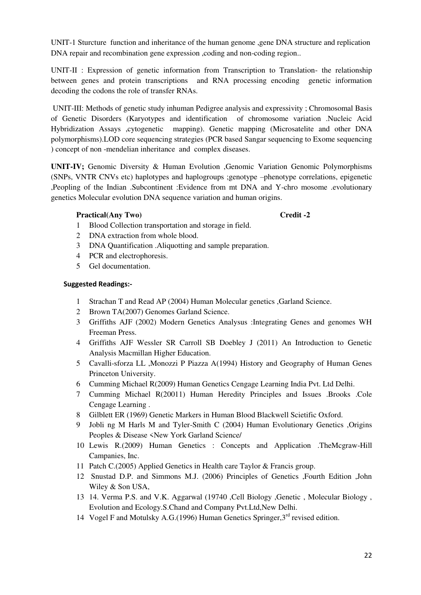UNIT-1 Sturcture function and inheritance of the human genome ,gene DNA structure and replication DNA repair and recombination gene expression ,coding and non-coding region..

UNIT-II : Expression of genetic information from Transcription to Translation- the relationship between genes and protein transcriptions and RNA processing encoding genetic information decoding the codons the role of transfer RNAs.

 UNIT-III: Methods of genetic study inhuman Pedigree analysis and expressivity ; Chromosomal Basis of Genetic Disorders (Karyotypes and identification of chromosome variation .Nucleic Acid Hybridization Assays ,cytogenetic mapping). Genetic mapping (Microsatelite and other DNA polymorphisms).LOD core sequencing strategies (PCR based Sangar sequencing to Exome sequencing ) concept of non -mendelian inheritance and complex diseases.

**UNIT-IV;** Genomic Diversity & Human Evolution ,Genomic Variation Genomic Polymorphisms (SNPs, VNTR CNVs etc) haplotypes and haplogroups ;genotype –phenotype correlations, epigenetic ,Peopling of the Indian .Subcontinent :Evidence from mt DNA and Y-chro mosome .evolutionary genetics Molecular evolution DNA sequence variation and human origins.

### Practical(Any Two) Credit -2

- 1 Blood Collection transportation and storage in field.
- 2 DNA extraction from whole blood.
- 3 DNA Quantification .Aliquotting and sample preparation.
- 4 PCR and electrophoresis.
- 5 Gel documentation.

- 1 Strachan T and Read AP (2004) Human Molecular genetics ,Garland Science.
- 2 Brown TA(2007) Genomes Garland Science.
- 3 Griffiths AJF (2002) Modern Genetics Analysus :Integrating Genes and genomes WH Freeman Press.
- 4 Griffiths AJF Wessler SR Carroll SB Doebley J (2011) An Introduction to Genetic Analysis Macmillan Higher Education.
- 5 Cavalli-sforza LL ,Monozzi P Piazza A(1994) History and Geography of Human Genes Princeton University.
- 6 Cumming Michael R(2009) Human Genetics Cengage Learning India Pvt. Ltd Delhi.
- 7 Cumming Michael R(20011) Human Heredity Principles and Issues .Brooks .Cole Cengage Learning .
- 8 Gilblett ER (1969) Genetic Markers in Human Blood Blackwell Scietific Oxford.
- 9 Jobli ng M Harls M and Tyler-Smith C (2004) Human Evolutionary Genetics ,Origins Peoples & Disease <New York Garland Science/
- 10 Lewis R.(2009) Human Genetics : Concepts and Application .TheMcgraw-Hill Campanies, Inc.
- 11 Patch C.(2005) Applied Genetics in Health care Taylor & Francis group.
- 12 Snustad D.P. and Simmons M.J. (2006) Principles of Genetics ,Fourth Edition ,John Wiley & Son USA,
- 13 14. Verma P.S. and V.K. Aggarwal (19740 ,Cell Biology ,Genetic , Molecular Biology , Evolution and Ecology.S.Chand and Company Pvt.Ltd,New Delhi.
- 14 Vogel F and Motulsky A.G.(1996) Human Genetics Springer,  $3<sup>rd</sup>$  revised edition.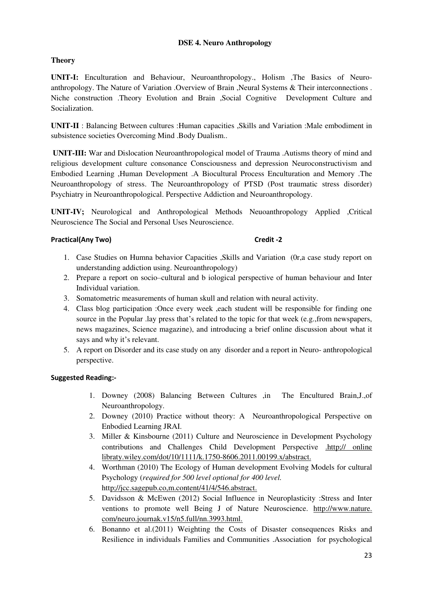# **DSE 4. Neuro Anthropology**

# **Theory**

**UNIT-I:** Enculturation and Behaviour, Neuroanthropology., Holism ,The Basics of Neuroanthropology. The Nature of Variation .Overview of Brain ,Neural Systems & Their interconnections . Niche construction .Theory Evolution and Brain ,Social Cognitive Development Culture and Socialization.

**UNIT-II** : Balancing Between cultures :Human capacities ,Skills and Variation :Male embodiment in subsistence societies Overcoming Mind .Body Dualism..

**UNIT-III:** War and Dislocation Neuroanthropological model of Trauma .Autisms theory of mind and religious development culture consonance Consciousness and depression Neuroconstructivism and Embodied Learning ,Human Development .A Biocultural Process Enculturation and Memory .The Neuroanthropology of stress. The Neuroanthropology of PTSD (Post traumatic stress disorder) Psychiatry in Neuroanthropological. Perspective Addiction and Neuroanthropology.

**UNIT-IV;** Neurological and Anthropological Methods Neuoanthropology Applied ,Critical Neuroscience The Social and Personal Uses Neuroscience.

# **Practical(Any Two)** Credit -2

- 1. Case Studies on Humna behavior Capacities ,Skills and Variation (0r,a case study report on understanding addiction using. Neuroanthropology)
- 2. Prepare a report on socio–cultural and b iological perspective of human behaviour and Inter Individual variation.
- 3. Somatometric measurements of human skull and relation with neural activity.
- 4. Class blog participation :Once every week ,each student will be responsible for finding one source in the Popular .lay press that's related to the topic for that week (e.g.,from newspapers, news magazines, Science magazine), and introducing a brief online discussion about what it says and why it's relevant.
- 5. A report on Disorder and its case study on any disorder and a report in Neuro- anthropological perspective.

- 1. Downey (2008) Balancing Between Cultures ,in The Encultured Brain,J.,of Neuroanthropology.
- 2. Downey (2010) Practice without theory: A Neuroanthropological Perspective on Enbodied Learning JRAI.
- 3. Miller & Kinsbourne (2011) Culture and Neuroscience in Development Psychology contributions and Challenges Child Development Perspective .http;// online libraty.wiley.com/dot/10/1111/k.1750-8606.2011.00199.x/abstract.
- 4. Worthman (2010) The Ecology of Human development Evolving Models for cultural Psychology (*required for 500 level optional for 400 level.*  http;//jcc.sagepub.co,m.content/41/4/546.abstract.
- 5. Davidsson & McEwen (2012) Social Influence in Neuroplasticity :Stress and Inter ventions to promote well Being J of Nature Neuroscience. http://www.nature. com/neuro.journak.v15/n5.full/nn.3993.html.
- 6. Bonanno et al.(2011) Weighting the Costs of Disaster consequences Risks and Resilience in individuals Families and Communities .Association for psychological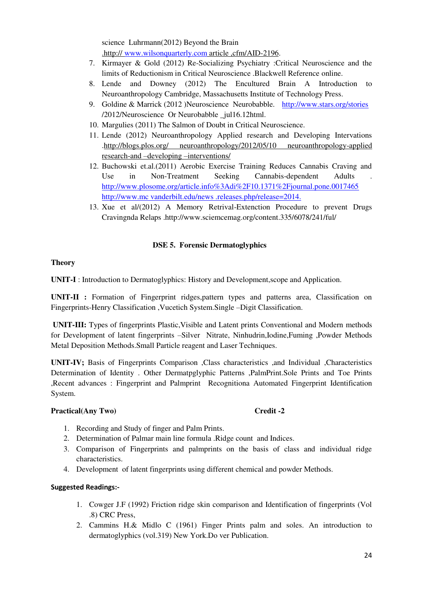science Luhrmann(2012) Beyond the Brain .http:// [www.wilsonquarterly.com](http://www.wilsonquarterly.com/) article ,cfm/AID-2196.

- 7. Kirmayer & Gold (2012) Re-Socializing Psychiatry :Critical Neuroscience and the limits of Reductionism in Critical Neuroscience .Blackwell Reference online.
- 8. Lende and Downey (2012) The Encultured Brain A Introduction to Neuroanthropology Cambridge, Massachusetts Institute of Technology Press.
- 9. Goldine & Marrick (2012 )Neuroscience Neurobabble. <http://www.stars.org/stories> /2012/Neuroscience Or Neurobabble \_jul16.12html.
- 10. Margulies (2011) The Salmon of Doubt in Critical Neuroscience.
- 11. Lende (2012) Neuroanthropology Applied research and Developing Intervations .http://blogs.plos.org/ neuroanthropology/2012/05/10 neuroanthropology-applied research-and –developing –interventions/
- 12. Buchowski et.al.(2011) Aerobic Exercise Training Reduces Cannabis Craving and Use in Non-Treatment Seeking Cannabis-dependent Adults <http://www.plosome.org/article.info%3Adi%2F10.1371%2Fjournal.pone.0017465> http://www.mc vanderbilt.edu/news .releases.php/release=2014.
- 13. Xue et al/(2012) A Memory Retrival-Extenction Procedure to prevent Drugs Cravingnda Relaps .http://www.sciemcemag.org/content.335/6078/241/ful/

# **DSE 5. Forensic Dermatoglyphics**

# **Theory**

**UNIT-I** : Introduction to Dermatoglyphics: History and Development,scope and Application.

**UNIT-II :** Formation of Fingerprint ridges,pattern types and patterns area, Classification on Fingerprints-Henry Classification ,Vucetich System.Single –Digit Classification.

**UNIT-III:** Types of fingerprints Plastic,Visible and Latent prints Conventional and Modern methods for Development of latent fingerprints –Silver Nitrate, Ninhudrin,Iodine,Fuming ,Powder Methods Metal Deposition Methods.Small Particle reagent and Laser Techniques.

**UNIT-IV;** Basis of Fingerprints Comparison ,Class characteristics ,and Individual ,Characteristics Determination of Identity . Other Dermatpglyphic Patterns ,PalmPrint.Sole Prints and Toe Prints ,Recent advances : Fingerprint and Palmprint Recognitiona Automated Fingerprint Identification System.

#### Practical(Any Two) Credit -2

- 1. Recording and Study of finger and Palm Prints.
- 2. Determination of Palmar main line formula .Ridge count and Indices.
- 3. Comparison of Fingerprints and palmprints on the basis of class and individual ridge characteristics.
- 4. Development of latent fingerprints using different chemical and powder Methods.

- 1. Cowger J.F (1992) Friction ridge skin comparison and Identification of fingerprints (Vol .8) CRC Press,
- 2. Cammins H.& Midlo C (1961) Finger Prints palm and soles. An introduction to dermatoglyphics (vol.319) New York.Do ver Publication.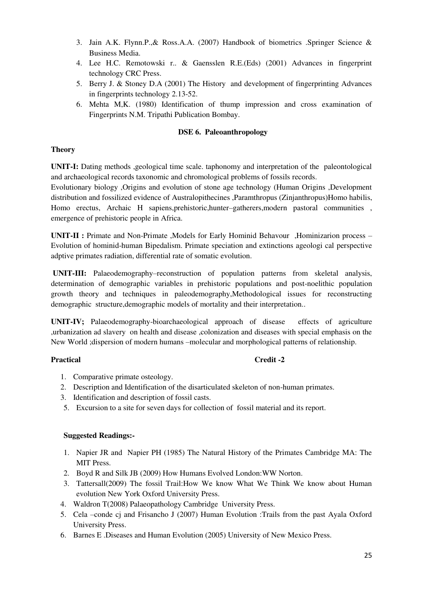- 3. Jain A.K. Flynn.P.,& Ross.A.A. (2007) Handbook of biometrics .Springer Science & Business Media.
- 4. Lee H.C. Remotowski r.. & Gaensslen R.E.(Eds) (2001) Advances in fingerprint technology CRC Press.
- 5. Berry J. & Stoney D.A (2001) The History and development of fingerprinting Advances in fingerprints technology 2.13-52.
- 6. Mehta M,K. (1980) Identification of thump impression and cross examination of Fingerprints N.M. Tripathi Publication Bombay.

# **DSE 6. Paleoanthropology**

# **Theory**

**UNIT-I:** Dating methods ,geological time scale, taphonomy and interpretation of the paleontological and archaeological records taxonomic and chromological problems of fossils records.

Evolutionary biology ,Origins and evolution of stone age technology (Human Origins ,Development distribution and fossilized evidence of Australopithecines ,Paramthropus (Zinjanthropus)Homo habilis, Homo erectus, Archaic H sapiens,prehistoric,hunter–gatherers,modern pastoral communities , emergence of prehistoric people in Africa.

**UNIT-II :** Primate and Non-Primate ,Models for Early Hominid Behavour ,Hominizarion process – Evolution of hominid-human Bipedalism. Primate speciation and extinctions ageologi cal perspective adptive primates radiation, differential rate of somatic evolution.

**UNIT-III:** Palaeodemography–reconstruction of population patterns from skeletal analysis, determination of demographic variables in prehistoric populations and post-noelithic population growth theory and techniques in paleodemography,Methodological issues for reconstructing demographic structure,demographic models of mortality and their interpretation..

**UNIT-IV;** Palaeodemography-bioarchaeological approach of disease effects of agriculture ,urbanization ad slavery on health and disease ,colonization and diseases with special emphasis on the New World ;dispersion of modern humans –molecular and morphological patterns of relationship.

# Practical **Credit -2**

- 1. Comparative primate osteology.
- 2. Description and Identification of the disarticulated skeleton of non-human primates.
- 3. Identification and description of fossil casts.
- 5. Excursion to a site for seven days for collection of fossil material and its report.

- 1. Napier JR and Napier PH (1985) The Natural History of the Primates Cambridge MA: The MIT Press.
- 2. Boyd R and Silk JB (2009) How Humans Evolved London:WW Norton.
- 3. Tattersall(2009) The fossil Trail:How We know What We Think We know about Human evolution New York Oxford University Press.
- 4. Waldron T(2008) Palaeopathology Cambridge University Press.
- 5. Cela –conde cj and Frisancho J (2007) Human Evolution :Trails from the past Ayala Oxford University Press.
- 6. Barnes E .Diseases and Human Evolution (2005) University of New Mexico Press.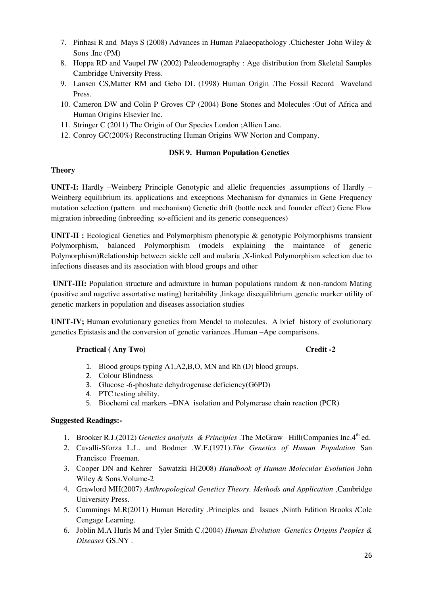- 7. Pinhasi R and Mays S (2008) Advances in Human Palaeopathology .Chichester .John Wiley & Sons .Inc (PM)
- 8. Hoppa RD and Vaupel JW (2002) Paleodemography : Age distribution from Skeletal Samples Cambridge University Press.
- 9. Lansen CS,Matter RM and Gebo DL (1998) Human Origin .The Fossil Record Waveland Press.
- 10. Cameron DW and Colin P Groves CP (2004) Bone Stones and Molecules :Out of Africa and Human Origins Elsevier Inc.
- 11. Stringer C (2011) The Origin of Our Species London ;Allien Lane.
- 12. Conroy GC(200%) Reconstructing Human Origins WW Norton and Company.

# **DSE 9. Human Population Genetics**

# **Theory**

**UNIT-I:** Hardly –Weinberg Principle Genotypic and allelic frequencies .assumptions of Hardly – Weinberg equilibrium its. applications and exceptions Mechanism for dynamics in Gene Frequency mutation selection (pattern and mechanism) Genetic drift (bottle neck and founder effect) Gene Flow migration inbreeding (inbreeding so-efficient and its generic consequences)

**UNIT-II :** Ecological Genetics and Polymorphism phenotypic & genotypic Polymorphisms transient Polymorphism, balanced Polymorphism (models explaining the maintance of generic Polymorphism)Relationship between sickle cell and malaria ,X-linked Polymorphism selection due to infections diseases and its association with blood groups and other

 **UNIT-III:** Population structure and admixture in human populations random & non-random Mating (positive and nagetive assortative mating) heritability ,linkage disequilibrium ,genetic marker utility of genetic markers in population and diseases association studies

**UNIT-IV;** Human evolutionary genetics from Mendel to molecules. A brief history of evolutionary genetics Epistasis and the conversion of genetic variances .Human –Ape comparisons.

# **Practical (Any Two)** Credit -2

- 1. Blood groups typing A1,A2,B,O, MN and Rh (D) blood groups.
- 2. Colour Blindness
- 3. Glucose -6-phoshate dehydrogenase deficiency(G6PD)
- 4. PTC testing ability.
- 5. Biochemi cal markers –DNA isolation and Polymerase chain reaction (PCR)

- 1. Brooker R.J.(2012) *Genetics analysis & Principles* .The McGraw –Hill(Companies Inc.4th ed.
- 2. Cavalli-Sforza L.L. and Bodmer .W.F.(1971).*The Genetics of Human Population* San Francisco Freeman.
- 3. Cooper DN and Kehrer –Sawatzki H(2008) *Handbook of Human Molecular Evolution* John Wiley & Sons.Volume-2
- 4. Grawlord MH(2007) *Anthropological Genetics Theory. Methods and Application* ,Cambridge University Press.
- 5. Cummings M.R(2011) Human Heredity .Principles and Issues ,Ninth Edition Brooks /Cole Cengage Learning.
- 6. Joblin M.A Hurls M and Tyler Smith C.(2004) *Human Evolution Genetics Origins Peoples & Diseases* GS.NY .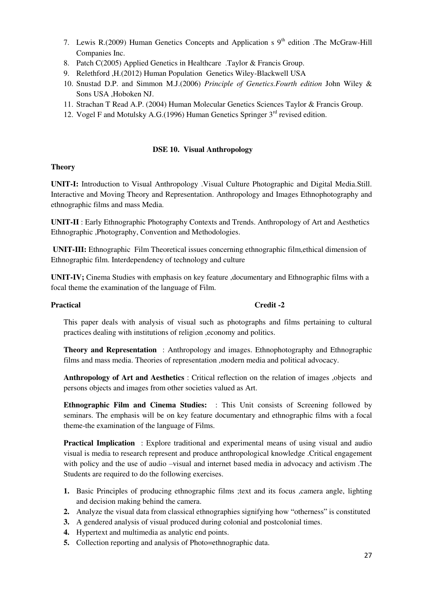- 7. Lewis R.(2009) Human Genetics Concepts and Application s  $9<sup>th</sup>$  edition .The McGraw-Hill Companies Inc.
- 8. Patch C(2005) Applied Genetics in Healthcare .Taylor & Francis Group.
- 9. Relethford ,H.(2012) Human Population Genetics Wiley-Blackwell USA
- 10. Snustad D.P. and Simmon M.J.(2006) *Principle of Genetics.Fourth edition* John Wiley & Sons USA ,Hoboken NJ.
- 11. Strachan T Read A.P. (2004) Human Molecular Genetics Sciences Taylor & Francis Group.
- 12. Vogel F and Motulsky A.G.(1996) Human Genetics Springer  $3<sup>rd</sup>$  revised edition.

# **DSE 10. Visual Anthropology**

# **Theory**

**UNIT-I:** Introduction to Visual Anthropology .Visual Culture Photographic and Digital Media.Still. Interactive and Moving Theory and Representation. Anthropology and Images Ethnophotography and ethnographic films and mass Media.

**UNIT-II** : Early Ethnographic Photography Contexts and Trends. Anthropology of Art and Aesthetics Ethnographic ,Photography, Convention and Methodologies.

 **UNIT-III:** Ethnographic Film Theoretical issues concerning ethnographic film,ethical dimension of Ethnographic film. Interdependency of technology and culture

**UNIT-IV;** Cinema Studies with emphasis on key feature ,documentary and Ethnographic films with a focal theme the examination of the language of Film.

# Practical **Credit -2**

This paper deals with analysis of visual such as photographs and films pertaining to cultural practices dealing with institutions of religion ,economy and politics.

**Theory and Representation** : Anthropology and images. Ethnophotography and Ethnographic films and mass media. Theories of representation ,modern media and political advocacy.

**Anthropology of Art and Aesthetics** : Critical reflection on the relation of images ,objects and persons objects and images from other societies valued as Art.

**Ethnographic Film and Cinema Studies:** : This Unit consists of Screening followed by seminars. The emphasis will be on key feature documentary and ethnographic films with a focal theme-the examination of the language of Films.

**Practical Implication** : Explore traditional and experimental means of using visual and audio visual is media to research represent and produce anthropological knowledge .Critical engagement with policy and the use of audio –visual and internet based media in advocacy and activism. The Students are required to do the following exercises.

- **1.** Basic Principles of producing ethnographic films ;text and its focus ,camera angle, lighting and decision making behind the camera.
- **2.** Analyze the visual data from classical ethnographies signifying how "otherness" is constituted
- **3.** A gendered analysis of visual produced during colonial and postcolonial times.
- **4.** Hypertext and multimedia as analytic end points.
- **5.** Collection reporting and analysis of Photo=ethnographic data.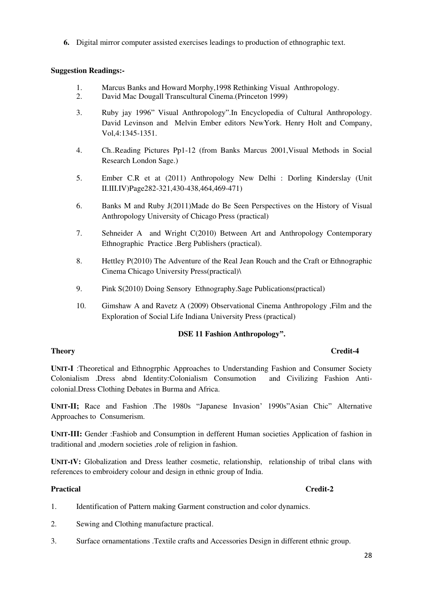**6.** Digital mirror computer assisted exercises leadings to production of ethnographic text.

# **Suggestion Readings:-**

- 1. Marcus Banks and Howard Morphy,1998 Rethinking Visual Anthropology.
- 2. David Mac Dougall Transcultural Cinema.(Princeton 1999)
- 3. Ruby jay 1996" Visual Anthropology".In Encyclopedia of Cultural Anthropology. David Levinson and Melvin Ember editors NewYork. Henry Holt and Company, Vol,4:1345-1351.
- 4. Ch..Reading Pictures Pp1-12 (from Banks Marcus 2001,Visual Methods in Social Research London Sage.)
- 5. Ember C.R et at (2011) Anthropology New Delhi : Dorling Kinderslay (Unit II.III.IV)Page282-321,430-438,464,469-471)
- 6. Banks M and Ruby J(2011)Made do Be Seen Perspectives on the History of Visual Anthropology University of Chicago Press (practical)
- 7. Sehneider A and Wright C(2010) Between Art and Anthropology Contemporary Ethnographic Practice .Berg Publishers (practical).
- 8. Hettley P(2010) The Adventure of the Real Jean Rouch and the Craft or Ethnographic Cinema Chicago University Press(practical)\
- 9. Pink S(2010) Doing Sensory Ethnography.Sage Publications(practical)
- 10. Gimshaw A and Ravetz A (2009) Observational Cinema Anthropology ,Film and the Exploration of Social Life Indiana University Press (practical)

#### **DSE 11 Fashion Anthropology".**

**UNIT-I** :Theoretical and Ethnogrphic Approaches to Understanding Fashion and Consumer Society Colonialism .Dress abnd Identity:Colonialism Consumotion and Civilizing Fashion Anticolonial.Dress Clothing Debates in Burma and Africa.

**UNIT-II;** Race and Fashion .The 1980s "Japanese Invasion' 1990s"Asian Chic" Alternative Approaches to Consumerism.

**UNIT-III:** Gender :Fashiob and Consumption in defferent Human societies Application of fashion in traditional and ,modern societies ,role of religion in fashion.

**UNIT-IV:** Globalization and Dress leather cosmetic, relationship, relationship of tribal clans with references to embroidery colour and design in ethnic group of India.

- 1. Identification of Pattern making Garment construction and color dynamics.
- 2. Sewing and Clothing manufacture practical.
- 3. Surface ornamentations .Textile crafts and Accessories Design in different ethnic group.

# **Theory** Credit-4

# **Practical** Credit-2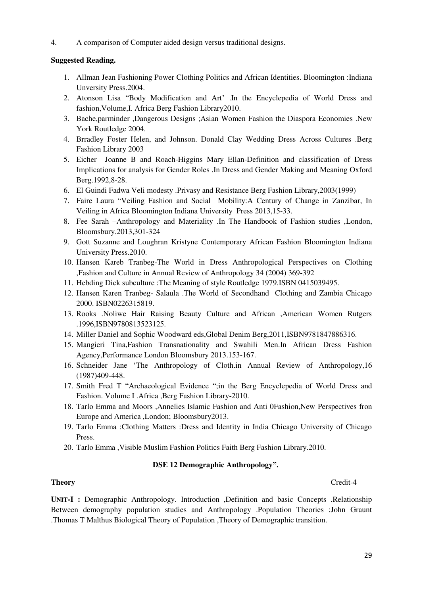4. A comparison of Computer aided design versus traditional designs.

# **Suggested Reading.**

- 1. Allman Jean Fashioning Power Clothing Politics and African Identities. Bloomington :Indiana Unversity Press.2004.
- 2. Atonson Lisa "Body Modification and Art' .In the Encyclepedia of World Dress and fashion,Volume,I. Africa Berg Fashion Library2010.
- 3. Bache,parminder ,Dangerous Designs ;Asian Women Fashion the Diaspora Economies .New York Routledge 2004.
- 4. Brradley Foster Helen, and Johnson. Donald Clay Wedding Dress Across Cultures .Berg Fashion Library 2003
- 5. Eicher Joanne B and Roach-Higgins Mary Ellan-Definition and classification of Dress Implications for analysis for Gender Roles .In Dress and Gender Making and Meaning Oxford Berg.1992,8-28.
- 6. El Guindi Fadwa Veli modesty .Privasy and Resistance Berg Fashion Library,2003(1999)
- 7. Faire Laura "Veiling Fashion and Social Mobility:A Century of Change in Zanzibar, In Veiling in Africa Bloomington Indiana University Press 2013,15-33.
- 8. Fee Sarah –Anthropology and Materiality .In The Handbook of Fashion studies ,London, Bloomsbury.2013,301-324
- 9. Gott Suzanne and Loughran Kristyne Contemporary African Fashion Bloomington Indiana University Press.2010.
- 10. Hansen Kareb Tranbeg-The World in Dress Anthropological Perspectives on Clothing ,Fashion and Culture in Annual Review of Anthropology 34 (2004) 369-392
- 11. Hebding Dick subculture :The Meaning of style Routledge 1979.ISBN 0415039495.
- 12. Hansen Karen Tranbeg- Salaula .The World of Secondhand Clothing and Zambia Chicago 2000. ISBN0226315819.
- 13. Rooks .Noliwe Hair Raising Beauty Culture and African ,American Women Rutgers .1996,ISBN9780813523125.
- 14. Miller Daniel and Sophic Woodward eds,Global Denim Berg,2011,ISBN9781847886316.
- 15. Mangieri Tina,Fashion Transnationality and Swahili Men.In African Dress Fashion Agency,Performance London Bloomsbury 2013.153-167.
- 16. Schneider Jane 'The Anthropology of Cloth.in Annual Review of Anthropology,16 (1987)409-448.
- 17. Smith Fred T "Archaeological Evidence ";in the Berg Encyclepedia of World Dress and Fashion. Volume I .Africa ,Berg Fashion Library-2010.
- 18. Tarlo Emma and Moors ,Annelies Islamic Fashion and Anti 0Fashion,New Perspectives fron Europe and America ,London; Bloomsbury2013.
- 19. Tarlo Emma :Clothing Matters :Dress and Identity in India Chicago University of Chicago Press.
- 20. Tarlo Emma ,Visible Muslim Fashion Politics Faith Berg Fashion Library.2010.

# **DSE 12 Demographic Anthropology".**

# **Theory** Credit-4

**UNIT-I :** Demographic Anthropology. Introduction ,Definition and basic Concepts .Relationship Between demography population studies and Anthropology .Population Theories :John Graunt .Thomas T Malthus Biological Theory of Population ,Theory of Demographic transition.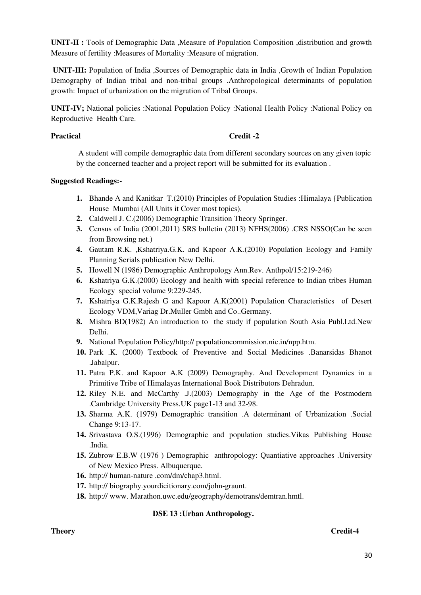**UNIT-II :** Tools of Demographic Data ,Measure of Population Composition ,distribution and growth Measure of fertility :Measures of Mortality :Measure of migration.

 **UNIT-III:** Population of India ,Sources of Demographic data in India ,Growth of Indian Population Demography of Indian tribal and non-tribal groups .Anthropological determinants of population growth: Impact of urbanization on the migration of Tribal Groups.

**UNIT-IV;** National policies :National Population Policy :National Health Policy :National Policy on Reproductive Health Care.

#### Practical Credit -2

 A student will compile demographic data from different secondary sources on any given topic by the concerned teacher and a project report will be submitted for its evaluation .

### **Suggested Readings:-**

- **1.** Bhande A and Kanitkar T.(2010) Principles of Population Studies :Himalaya {Publication House Mumbai (All Units it Cover most topics).
- **2.** Caldwell J. C.(2006) Demographic Transition Theory Springer.
- **3.** Census of India (2001,2011) SRS bulletin (2013) NFHS(2006) .CRS NSSO(Can be seen from Browsing net.)
- **4.** Gautam R.K. ,Kshatriya.G.K. and Kapoor A.K.(2010) Population Ecology and Family Planning Serials publication New Delhi.
- **5.** Howell N (1986) Demographic Anthropology Ann.Rev. Anthpol/15:219-246)
- **6.** Kshatriya G.K.(2000) Ecology and health with special reference to Indian tribes Human Ecology special volume 9:229-245.
- **7.** Kshatriya G.K.Rajesh G and Kapoor A.K(2001) Population Characteristics of Desert Ecology VDM,Variag Dr.Muller Gmbh and Co..Germany.
- **8.** Mishra BD(1982) An introduction to the study if population South Asia Publ.Ltd.New Delhi.
- **9.** National Population Policy/http:// populationcommission.nic.in/npp.htm.
- **10.** Park .K. (2000) Textbook of Preventive and Social Medicines .Banarsidas Bhanot .Jabalpur.
- **11.** Patra P.K. and Kapoor A.K (2009) Demography. And Development Dynamics in a Primitive Tribe of Himalayas International Book Distributors Dehradun.
- **12.** Riley N.E. and McCarthy .J.(2003) Demography in the Age of the Postmodern .Cambridge University Press.UK page1-13 and 32-98.
- **13.** Sharma A.K. (1979) Demographic transition .A determinant of Urbanization .Social Change 9:13-17.
- **14.** Srivastava O.S.(1996) Demographic and population studies.Vikas Publishing House .India.
- **15.** Zubrow E.B.W (1976 ) Demographic anthropology: Quantiative approaches .University of New Mexico Press. Albuquerque.
- **16.** http:// human-nature .com/dm/chap3.html.
- **17.** http:// biography.yourdicitionary.com/john-graunt.
- **18.** http:// www. Marathon.uwc.edu/geography/demotrans/demtran.hmtl.

# **DSE 13 :Urban Anthropology.**

# **Theory Credit-4**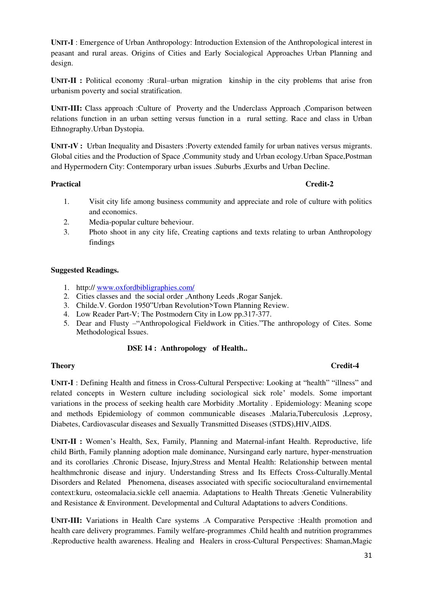**UNIT-I** : Emergence of Urban Anthropology: Introduction Extension of the Anthropological interest in peasant and rural areas. Origins of Cities and Early Socialogical Approaches Urban Planning and design.

**UNIT-II :** Political economy :Rural–urban migration kinship in the city problems that arise fron urbanism poverty and social stratification.

**UNIT-III:** Class approach :Culture of Proverty and the Underclass Approach ,Comparison between relations function in an urban setting versus function in a rural setting. Race and class in Urban Ethnography.Urban Dystopia.

**UNIT-IV :** Urban Inequality and Disasters :Poverty extended family for urban natives versus migrants. Global cities and the Production of Space ,Community study and Urban ecology.Urban Space,Postman and Hypermodern City: Contemporary urban issues .Suburbs ,Exurbs and Urban Decline.

# **Practical** Credit-2

- 1. Visit city life among business community and appreciate and role of culture with politics and economics.
- 2. Media-popular culture beheviour.
- 3. Photo shoot in any city life, Creating captions and texts relating to urban Anthropology findings

#### **Suggested Readings.**

- 1. http:// [www.oxfordbibligraphies.com/](http://www.oxfordbibligraphies.com/)
- 2. Cities classes and the social order ,Anthony Leeds ,Rogar Sanjek.
- 3. Childe.V. Gordon 1950"Urban Revolution>Town Planning Review.
- 4. Low Reader Part-V; The Postmodern City in Low pp.317-377.
- 5. Dear and Flusty –"Anthropological Fieldwork in Cities."The anthropology of Cites. Some Methodological Issues.

#### **DSE 14 : Anthropology of Health..**

#### **Theory Credit-4**

**UNIT-I** : Defining Health and fitness in Cross-Cultural Perspective: Looking at "health" "illness" and related concepts in Western culture including sociological sick role' models. Some important variations in the process of seeking health care Morbidity .Mortality . Epidemiology: Meaning scope and methods Epidemiology of common communicable diseases .Malaria,Tuberculosis ,Leprosy, Diabetes, Cardiovascular diseases and Sexually Transmitted Diseases (STDS),HIV,AIDS.

**UNIT-II :** Women's Health, Sex, Family, Planning and Maternal-infant Health. Reproductive, life child Birth, Family planning adoption male dominance, Nursingand early narture, hyper-menstruation and its corollaries .Chronic Disease, Injury,Stress and Mental Health: Relationship between mental healthmchronic disease and injury. Understanding Stress and Its Effects Cross-Culturally.Mental Disorders and Related Phenomena, diseases associated with specific socioculturaland envirnemental context:kuru, osteomalacia.sickle cell anaemia. Adaptations to Health Threats :Genetic Vulnerability and Resistance & Environment. Developmental and Cultural Adaptations to advers Conditions.

**UNIT-III:** Variations in Health Care systems .A Comparative Perspective :Health promotion and health care delivery programmes. Family welfare-programmes .Child health and nutrition programmes .Reproductive health awareness. Healing and Healers in cross-Cultural Perspectives: Shaman,Magic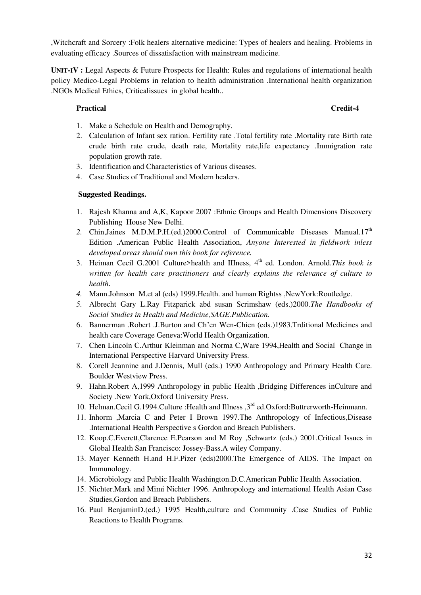,Witchcraft and Sorcery :Folk healers alternative medicine: Types of healers and healing. Problems in evaluating efficacy .Sources of dissatisfaction with mainstream medicine.

**UNIT-IV :** Legal Aspects & Future Prospects for Health: Rules and regulations of international health policy Medico-Legal Problems in relation to health administration .International health organization .NGOs Medical Ethics, Criticalissues in global health..

# **Practical Credit-4**

- 1. Make a Schedule on Health and Demography.
- 2. Calculation of Infant sex ration. Fertility rate .Total fertility rate .Mortality rate Birth rate crude birth rate crude, death rate, Mortality rate,life expectancy .Immigration rate population growth rate.
- 3. Identification and Characteristics of Various diseases.
- 4. Case Studies of Traditional and Modern healers.

- 1. Rajesh Khanna and A,K, Kapoor 2007 :Ethnic Groups and Health Dimensions Discovery Publishing House New Delhi.
- 2. Chin,Jaines M.D.M.P.H.(ed.)2000.Control of Communicable Diseases Manual.17<sup>th</sup> Edition .American Public Health Association, *Anyone Interested in fieldwork inless developed areas should own this book for reference.*
- 3. Heiman Cecil G.2001 Culture>health and IIIness, 4<sup>th</sup> ed. London. Arnold.*This book is written for health care practitioners and clearly explains the relevance of culture to health*.
- *4.* Mann.Johnson M.et al (eds) 1999.Health. and human Rightss ,NewYork:Routledge.
- *5.* Albrecht Gary L.Ray Fitzparick abd susan Scrimshaw (eds.)2000.*The Handbooks of Social Studies in Health and Medicine,SAGE.Publication.*
- 6. Bannerman .Robert .J.Burton and Ch'en Wen-Chien (eds.)1983.Trditional Medicines and health care Coverage Geneva:World Health Organization.
- 7. Chen Lincoln C.Arthur Kleinman and Norma C,Ware 1994,Health and Social Change in International Perspective Harvard University Press.
- 8. Corell Jeannine and J.Dennis, Mull (eds.) 1990 Anthropology and Primary Health Care. Boulder Westview Press.
- 9. Hahn.Robert A,1999 Anthropology in public Health ,Bridging Differences inCulture and Society .New York,Oxford University Press.
- 10. Helman.Cecil G.1994.Culture : Health and Illness , 3<sup>rd</sup> ed.Oxford: Buttrerworth-Heinmann.
- 11. Inhorm ,Marcia C and Peter I Brown 1997.The Anthropology of Infectious,Disease .International Health Perspective s Gordon and Breach Publishers.
- 12. Koop.C.Everett,Clarence E.Pearson and M Roy ,Schwartz (eds.) 2001.Critical Issues in Global Health San Francisco: Jossey-Bass.A wiley Company.
- 13. Mayer Kenneth H.and H.F.Pizer (eds)2000.The Emergence of AIDS. The Impact on Immunology.
- 14. Microbiology and Public Health Washington.D.C.American Public Health Association.
- 15. Nichter.Mark and Mimi Nichter 1996. Anthropology and international Health Asian Case Studies,Gordon and Breach Publishers.
- 16. Paul BenjaminD.(ed.) 1995 Health,culture and Community .Case Studies of Public Reactions to Health Programs.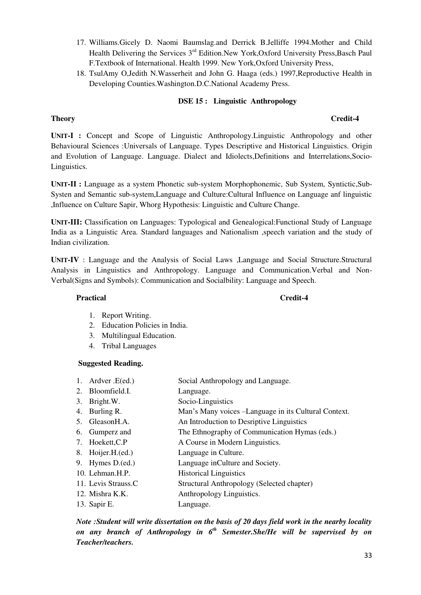- 17. Williams.Gicely D. Naomi Baumslag.and Derrick B.Jelliffe 1994.Mother and Child Health Delivering the Services 3<sup>rd</sup> Edition.New York,Oxford University Press,Basch Paul F.Textbook of International. Health 1999. New York,Oxford University Press,
- 18. TsulAmy O,Jedith N.Wasserheit and John G. Haaga (eds.) 1997,Reproductive Health in Developing Counties.Washington.D.C.National Academy Press.

# **DSE 15 : Linguistic Anthropology**

# **Theory** Credit-4

**UNIT-I :** Concept and Scope of Linguistic Anthropology.Linguistic Anthropology and other Behavioural Sciences :Universals of Language. Types Descriptive and Historical Linguistics. Origin and Evolution of Language. Language. Dialect and Idiolects,Definitions and Interrelations,Socio-Linguistics.

**UNIT-II :** Language as a system Phonetic sub-system Morphophonemic, Sub System, Syntictic,Sub-Systen and Semantic sub-system,Language and Culture:Cultural Influence on Language anf linguistic ,Influence on Culture Sapir, Whorg Hypothesis: Linguistic and Culture Change.

**UNIT-III:** Classification on Languages: Typological and Genealogical:Functional Study of Language India as a Linguistic Area. Standard languages and Nationalism ,speech variation and the study of Indian civilization.

**UNIT-IV** : Language and the Analysis of Social Laws ,Language and Social Structure.Structural Analysis in Linguistics and Anthropology. Language and Communication.Verbal and Non-Verbal(Signs and Symbols): Communication and Socialbility: Language and Speech.

#### Practical **Credit-4**

- 1. Report Writing.
- 2. Education Policies in India.
- 3. Multilingual Education.
- 4. Tribal Languages

# **Suggested Reading.**

- 1. Ardver .E(ed.) Social Anthropology and Language.
- 2. Bloomfield.I. Language.
- 3. Bright.W. Socio-Linguistics
- 4. Burling R. Man's Many voices –Language in its Cultural Context.
- 5. Gleason H.A. An Introduction to Descriptive Linguistics
- 6. Gumperz and The Ethnography of Communication Hymas (eds.)
- 7. Hoekett, C.P A Course in Modern Linguistics.
- 8. Hoijer.H.(ed.) Language in Culture.
- 9. Hymes D.(ed.) Language inCulture and Society.
- 10. Lehman.H.P. Historical Linguistics
- 11. Levis Strauss.C Structural Anthropology (Selected chapter)
- 12. Mishra K.K. Anthropology Linguistics.
- 13. Sapir E. Language.

*Note :Student will write dissertation on the basis of 20 days field work in the nearby locality on any branch of Anthropology in 6th Semester.She/He will be supervised by on Teacher/teachers.*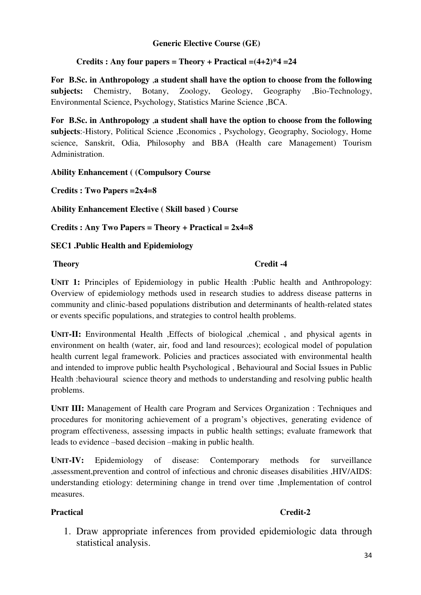# **Generic Elective Course (GE)**

# **Credits : Any four papers = Theory + Practical =(4+2)\*4 =24**

**For B.Sc. in Anthropology** ,**a student shall have the option to choose from the following subjects:** Chemistry, Botany, Zoology, Geology, Geography ,Bio-Technology, Environmental Science, Psychology, Statistics Marine Science ,BCA.

**For B.Sc. in Anthropology** ,**a student shall have the option to choose from the following subjects**:-History, Political Science ,Economics , Psychology, Geography, Sociology, Home science, Sanskrit, Odia, Philosophy and BBA (Health care Management) Tourism Administration.

# **Ability Enhancement ( (Compulsory Course**

**Credits : Two Papers =2x4=8** 

**Ability Enhancement Elective ( Skill based ) Course** 

**Credits : Any Two Papers = Theory + Practical = 2x4=8** 

# **SEC1 .Public Health and Epidemiology**

# **Theory** Credit -4

**UNIT 1:** Principles of Epidemiology in public Health :Public health and Anthropology: Overview of epidemiology methods used in research studies to address disease patterns in community and clinic-based populations distribution and determinants of health-related states or events specific populations, and strategies to control health problems.

**UNIT-II:** Environmental Health ,Effects of biological ,chemical , and physical agents in environment on health (water, air, food and land resources); ecological model of population health current legal framework. Policies and practices associated with environmental health and intended to improve public health Psychological , Behavioural and Social Issues in Public Health :behavioural science theory and methods to understanding and resolving public health problems.

**UNIT III:** Management of Health care Program and Services Organization : Techniques and procedures for monitoring achievement of a program's objectives, generating evidence of program effectiveness, assessing impacts in public health settings; evaluate framework that leads to evidence –based decision –making in public health.

**UNIT-IV:** Epidemiology of disease: Contemporary methods for surveillance ,assessment,prevention and control of infectious and chronic diseases disabilities ,HIV/AIDS: understanding etiology: determining change in trend over time ,Implementation of control measures.

# Practical **Credit-2**

1. Draw appropriate inferences from provided epidemiologic data through statistical analysis.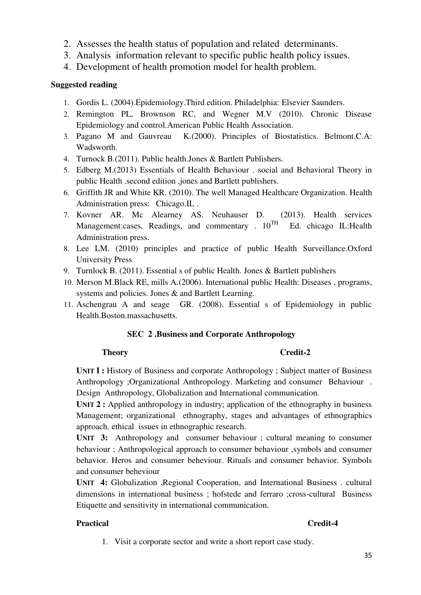- 2. Assesses the health status of population and related determinants.
- 3. Analysis information relevant to specific public health policy issues.
- 4. Development of health promotion model for health problem.

# **Suggested reading**

- 1. Gordis L. (2004).Epidemiology.Third edition. Philadelphia: Elsevier Saunders.
- 2. Remington PL, Brownson RC, and Wegner M.V (2010). Chronic Disease Epidemiology and control.American Public Health Association.
- 3. Pagano M and Gauvreau K.(2000). Principles of Biostatistics. Belmont.C.A: Wadsworth.
- 4. Turnock B.(2011). Public health.Jones & Bartlett Publishers.
- 5. Edberg M.(2013) Essentials of Health Behaviour . social and Behavioral Theory in public Health .second edition ,jones and Bartlett publishers.
- 6. Griffith JR and White KR. (2010). The well Managed Healthcare Organization. Health Administration press: Chicago.IL .
- 7. Kovner AR. Mc Alearney AS. Neuhauser D. (2013). Health services Management:cases, Readings, and commentary .  $10^{TH}$  Ed. chicago IL:Health Administration press.
- 8. Lee LM. (2010) principles and practice of public Health Surveillance.Oxford University Press
- 9. Turnlock B. (2011). Essential s of public Health. Jones & Bartlett publishers
- 10. Merson M.Black RE, mills A.(2006). International public Health: Diseases , programs, systems and policies. Jones & and Bartlett Learning.
- 11. Aschengrau A and seage GR. (2008). Essential s of Epidemiology in public Health.Boston.massachusetts.

# **SEC 2 .Business and Corporate Anthropology**

# **Theory Credit-2**

**UNIT I :** History of Business and corporate Anthropology ; Subject matter of Business Anthropology ;Organizational Anthropology. Marketing and consumer Behaviour . Design Anthropology, Globalization and International communication.

**UNIT 2 :** Applied anthropology in industry; application of the ethnography in business Management; organizational ethnography, stages and advantages of ethnographics approach. ethical issues in ethnographic research.

**UNIT 3:** Anthropology and consumer behaviour ; cultural meaning to consumer behaviour ; Anthropological approach to consumer behaviour ,symbols and consumer behavior. Heros and consumer beheviour. Rituals and consumer behavior. Symbols and consumer beheviour

**UNIT 4:** Globalization ,Regional Cooperation, and International Business . cultural dimensions in international business ; hofstede and ferraro ;cross-cultural Business Etiquette and sensitivity in international communication.

# Practical **Credit-4**

1. Visit a corporate sector and write a short report case study.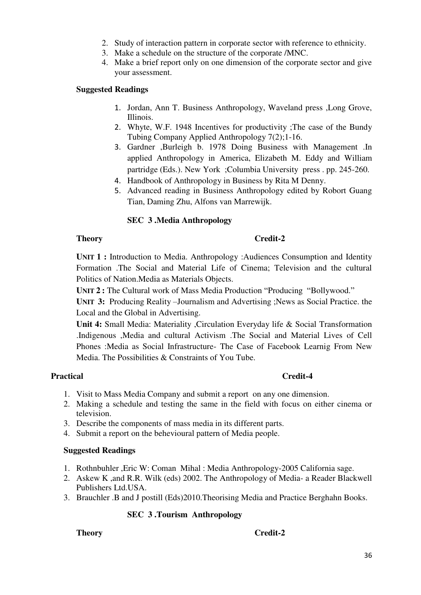- 2. Study of interaction pattern in corporate sector with reference to ethnicity.
- 3. Make a schedule on the structure of the corporate /MNC.
- 4. Make a brief report only on one dimension of the corporate sector and give your assessment.

# **Suggested Readings**

- 1. Jordan, Ann T. Business Anthropology, Waveland press ,Long Grove, Illinois.
- 2. Whyte, W.F. 1948 Incentives for productivity ;The case of the Bundy Tubing Company Applied Anthropology 7(2);1-16.
- 3. Gardner ,Burleigh b. 1978 Doing Business with Management .In applied Anthropology in America, Elizabeth M. Eddy and William partridge (Eds.). New York ;Columbia University press . pp. 245-260.
- 4. Handbook of Anthropology in Business by Rita M Denny.
- 5. Advanced reading in Business Anthropology edited by Robort Guang Tian, Daming Zhu, Alfons van Marrewijk.

# **SEC 3 .Media Anthropology**

# **Theory Credit-2**

**UNIT 1 :** Introduction to Media. Anthropology :Audiences Consumption and Identity Formation .The Social and Material Life of Cinema; Television and the cultural Politics of Nation.Media as Materials Objects.

**UNIT 2 :** The Cultural work of Mass Media Production "Producing "Bollywood."

**UNIT 3:** Producing Reality –Journalism and Advertising ;News as Social Practice. the Local and the Global in Advertising.

**Unit 4:** Small Media: Materiality ,Circulation Everyday life & Social Transformation .Indigenous ,Media and cultural Activism .The Social and Material Lives of Cell Phones :Media as Social Infrastructure- The Case of Facebook Learnig From New Media. The Possibilities & Constraints of You Tube.

# Practical **Credit-4**

- 1. Visit to Mass Media Company and submit a report on any one dimension.
- 2. Making a schedule and testing the same in the field with focus on either cinema or television.
- 3. Describe the components of mass media in its different parts.
- 4. Submit a report on the behevioural pattern of Media people.

# **Suggested Readings**

- 1. Rothnbuhler ,Eric W: Coman Mihal : Media Anthropology-2005 California sage.
- 2. Askew K ,and R.R. Wilk (eds) 2002. The Anthropology of Media- a Reader Blackwell Publishers Ltd.USA.
- 3. Brauchler .B and J postill (Eds)2010.Theorising Media and Practice Berghahn Books.

# **SEC 3 .Tourism Anthropology**

# **Theory Credit-2**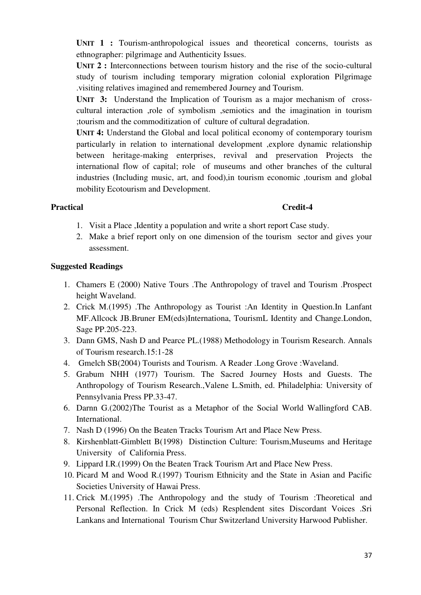**UNIT 1 :** Tourism-anthropological issues and theoretical concerns, tourists as ethnographer: pilgrimage and Authenticity Issues.

**UNIT 2 :** Interconnections between tourism history and the rise of the socio-cultural study of tourism including temporary migration colonial exploration Pilgrimage .visiting relatives imagined and remembered Journey and Tourism.

UNIT 3: Understand the Implication of Tourism as a major mechanism of crosscultural interaction ,role of symbolism ,semiotics and the imagination in tourism ;tourism and the commoditization of culture of cultural degradation.

**UNIT 4:** Understand the Global and local political economy of contemporary tourism particularly in relation to international development ,explore dynamic relationship between heritage-making enterprises, revival and preservation Projects the international flow of capital; role of museums and other branches of the cultural industries (Including music, art, and food),in tourism economic ,tourism and global mobility Ecotourism and Development.

# Practical **Credit-4**

- 1. Visit a Place ,Identity a population and write a short report Case study.
- 2. Make a brief report only on one dimension of the tourism sector and gives your assessment.

- 1. Chamers E (2000) Native Tours .The Anthropology of travel and Tourism .Prospect height Waveland.
- 2. Crick M.(1995) .The Anthropology as Tourist :An Identity in Question.In Lanfant MF.Allcock JB.Bruner EM(eds)Internationa, TourismL Identity and Change.London, Sage PP.205-223.
- 3. Dann GMS, Nash D and Pearce PL.(1988) Methodology in Tourism Research. Annals of Tourism research.15:1-28
- 4. Gmelch SB(2004) Tourists and Tourism. A Reader .Long Grove :Waveland.
- 5. Grabum NHH (1977) Tourism. The Sacred Journey Hosts and Guests. The Anthropology of Tourism Research.,Valene L.Smith, ed. Philadelphia: University of Pennsylvania Press PP.33-47.
- 6. Darnn G.(2002)The Tourist as a Metaphor of the Social World Wallingford CAB. International.
- 7. Nash D (1996) On the Beaten Tracks Tourism Art and Place New Press.
- 8. Kirshenblatt-Gimblett B(1998) Distinction Culture: Tourism,Museums and Heritage University of California Press.
- 9. Lippard I.R.(1999) On the Beaten Track Tourism Art and Place New Press.
- 10. Picard M and Wood R.(1997) Tourism Ethnicity and the State in Asian and Pacific Societies University of Hawai Press.
- 11. Crick M.(1995) .The Anthropology and the study of Tourism :Theoretical and Personal Reflection. In Crick M (eds) Resplendent sites Discordant Voices .Sri Lankans and International Tourism Chur Switzerland University Harwood Publisher.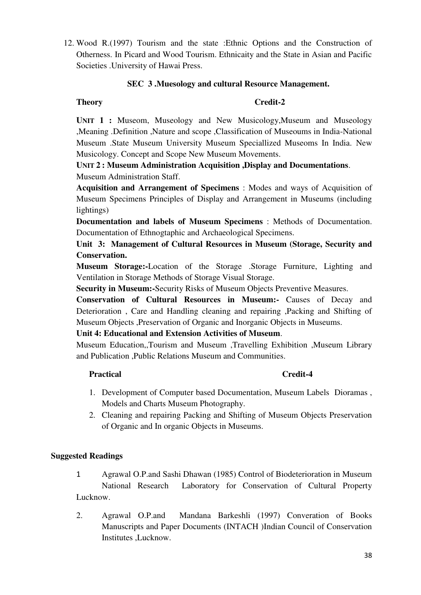12. Wood R.(1997) Tourism and the state :Ethnic Options and the Construction of Otherness. In Picard and Wood Tourism. Ethnicaity and the State in Asian and Pacific Societies .University of Hawai Press.

# **SEC 3 .Muesology and cultural Resource Management.**

# **Theory Credit-2**

**UNIT 1 :** Museom, Museology and New Musicology,Museum and Museology ,Meaning .Definition ,Nature and scope ,Classification of Museoums in India-National Museum .State Museum University Museum Speciallized Museoms In India. New Musicology. Concept and Scope New Museum Movements.

# **UNIT 2 : Museum Administration Acquisition ,Display and Documentations**. Museum Administration Staff.

**Acquisition and Arrangement of Specimens** : Modes and ways of Acquisition of Museum Specimens Principles of Display and Arrangement in Museums (including lightings)

**Documentation and labels of Museum Specimens** : Methods of Documentation. Documentation of Ethnogtaphic and Archaeological Specimens.

# **Unit 3: Management of Cultural Resources in Museum (Storage, Security and Conservation.**

**Museum Storage:-**Location of the Storage .Storage Furniture, Lighting and Ventilation in Storage Methods of Storage Visual Storage.

**Security in Museum:-**Security Risks of Museum Objects Preventive Measures.

**Conservation of Cultural Resources in Museum:-** Causes of Decay and Deterioration , Care and Handling cleaning and repairing ,Packing and Shifting of Museum Objects ,Preservation of Organic and Inorganic Objects in Museums.

# **Unit 4: Educational and Extension Activities of Museum**.

Museum Education,,Tourism and Museum ,Travelling Exhibition ,Museum Library and Publication ,Public Relations Museum and Communities.

# **Practical Credit-4**

- 1. Development of Computer based Documentation, Museum Labels Dioramas , Models and Charts Museum Photography.
- 2. Cleaning and repairing Packing and Shifting of Museum Objects Preservation of Organic and In organic Objects in Museums.

- 1 Agrawal O.P.and Sashi Dhawan (1985) Control of Biodeterioration in Museum National Research Laboratory for Conservation of Cultural Property Lucknow.
- 2. Agrawal O.P.and Mandana Barkeshli (1997) Converation of Books Manuscripts and Paper Documents (INTACH )Indian Council of Conservation Institutes ,Lucknow.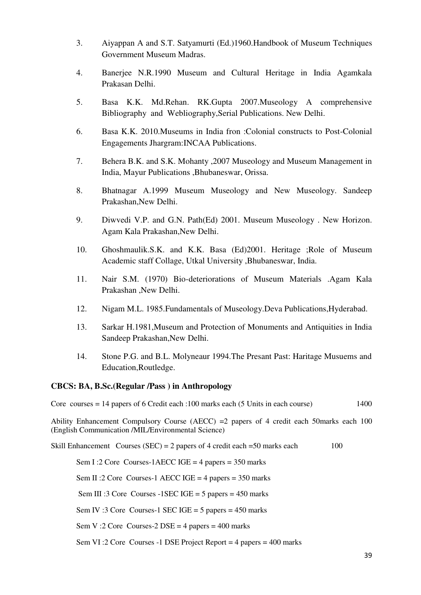- 3. Aiyappan A and S.T. Satyamurti (Ed.)1960.Handbook of Museum Techniques Government Museum Madras.
- 4. Banerjee N.R.1990 Museum and Cultural Heritage in India Agamkala Prakasan Delhi.
- 5. Basa K.K. Md.Rehan. RK.Gupta 2007.Museology A comprehensive Bibliography and Webliography,Serial Publications. New Delhi.
- 6. Basa K.K. 2010.Museums in India fron :Colonial constructs to Post-Colonial Engagements Jhargram:INCAA Publications.
- 7. Behera B.K. and S.K. Mohanty ,2007 Museology and Museum Management in India, Mayur Publications ,Bhubaneswar, Orissa.
- 8. Bhatnagar A.1999 Museum Museology and New Museology. Sandeep Prakashan,New Delhi.
- 9. Diwvedi V.P. and G.N. Path(Ed) 2001. Museum Museology . New Horizon. Agam Kala Prakashan,New Delhi.
- 10. Ghoshmaulik.S.K. and K.K. Basa (Ed)2001. Heritage ;Role of Museum Academic staff Collage, Utkal University ,Bhubaneswar, India.
- 11. Nair S.M. (1970) Bio-deteriorations of Museum Materials .Agam Kala Prakashan ,New Delhi.
- 12. Nigam M.L. 1985.Fundamentals of Museology.Deva Publications,Hyderabad.
- 13. Sarkar H.1981,Museum and Protection of Monuments and Antiquities in India Sandeep Prakashan,New Delhi.
- 14. Stone P.G. and B.L. Molyneaur 1994.The Presant Past: Haritage Musuems and Education,Routledge.

# **CBCS: BA, B.Sc.(Regular /Pass ) in Anthropology**

Core courses  $= 14$  papers of 6 Credit each :100 marks each (5 Units in each course) 1400

Ability Enhancement Compulsory Course (AECC) =2 papers of 4 credit each 50marks each 100 (English Communication /MIL/Environmental Science)

Skill Enhancement Courses (SEC) = 2 papers of 4 credit each  $=$  50 marks each 100

Sem I :2 Core Courses-1AECC IGE = 4 papers =  $350$  marks

Sem II :2 Core Courses-1 AECC IGE = 4 papers =  $350$  marks

Sem III :3 Core Courses -1 SEC IGE = 5 papers =  $450$  marks

Sem IV :3 Core Courses-1 SEC IGE =  $5$  papers =  $450$  marks

Sem V :2 Core Courses-2  $DSE = 4$  papers = 400 marks

Sem VI :2 Core Courses -1 DSE Project Report = 4 papers = 400 marks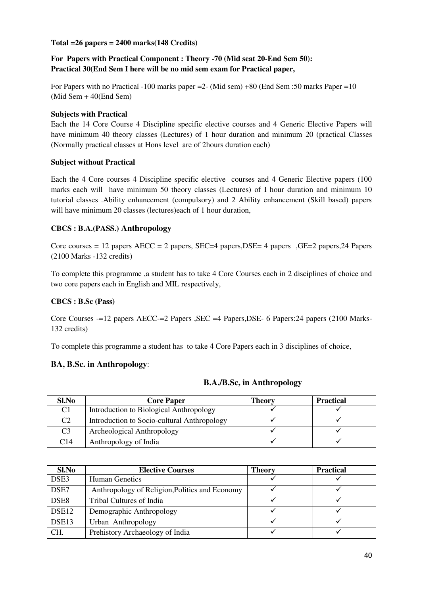# **Total =26 papers = 2400 marks(148 Credits)**

# **For Papers with Practical Component : Theory -70 (Mid seat 20-End Sem 50): Practical 30(End Sem I here will be no mid sem exam for Practical paper,**

For Papers with no Practical -100 marks paper =2- (Mid sem) +80 (End Sem :50 marks Paper =10 (Mid Sem + 40(End Sem)

### **Subjects with Practical**

Each the 14 Core Course 4 Discipline specific elective courses and 4 Generic Elective Papers will have minimum 40 theory classes (Lectures) of 1 hour duration and minimum 20 (practical Classes (Normally practical classes at Hons level are of 2hours duration each)

### **Subject without Practical**

Each the 4 Core courses 4 Discipline specific elective courses and 4 Generic Elective papers (100 marks each will have minimum 50 theory classes (Lectures) of I hour duration and minimum 10 tutorial classes .Ability enhancement (compulsory) and 2 Ability enhancement (Skill based) papers will have minimum 20 classes (lectures)each of 1 hour duration,

# **CBCS : B.A.(PASS.) Anthropology**

Core courses = 12 papers  $AECC = 2$  papers,  $SEC=4$  papers,  $DSE = 4$  papers  $GE = 2$  papers,  $24$  Papers (2100 Marks -132 credits)

To complete this programme ,a student has to take 4 Core Courses each in 2 disciplines of choice and two core papers each in English and MIL respectively,

# **CBCS : B.Sc (Pass)**

Core Courses -=12 papers AECC-=2 Papers ,SEC =4 Papers,DSE- 6 Papers:24 papers (2100 Marks-132 credits)

To complete this programme a student has to take 4 Core Papers each in 3 disciplines of choice,

# **BA, B.Sc. in Anthropology**:

| Sl.No          | <b>Core Paper</b>                           | Theory | <b>Practical</b> |
|----------------|---------------------------------------------|--------|------------------|
| C <sub>1</sub> | Introduction to Biological Anthropology     |        |                  |
| C <sub>2</sub> | Introduction to Socio-cultural Anthropology |        |                  |
| C <sub>3</sub> | Archeological Anthropology                  |        |                  |
| C14            | Anthropology of India                       |        |                  |

#### **B.A./B.Sc, in Anthropology**

| Sl.No             | <b>Elective Courses</b>                        | <b>Theory</b> | <b>Practical</b> |
|-------------------|------------------------------------------------|---------------|------------------|
| DSE3              | <b>Human Genetics</b>                          |               |                  |
| DSE7              | Anthropology of Religion, Politics and Economy |               |                  |
| DSE <sub>8</sub>  | Tribal Cultures of India                       |               |                  |
| DSE <sub>12</sub> | Demographic Anthropology                       |               |                  |
| DSE <sub>13</sub> | Urban Anthropology                             |               |                  |
| CH.               | Prehistory Archaeology of India                |               |                  |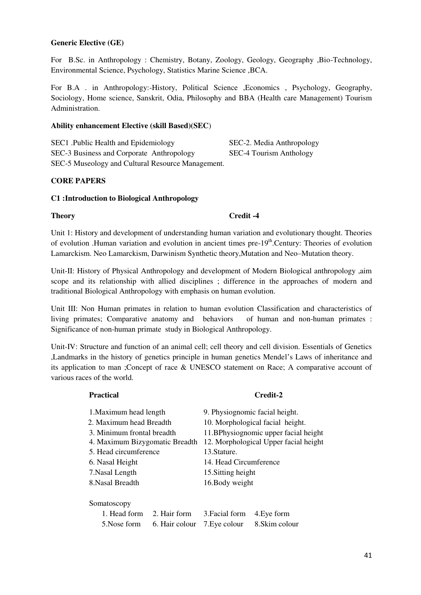### **Generic Elective (GE)**

For B.Sc. in Anthropology : Chemistry, Botany, Zoology, Geology, Geography , Bio-Technology, Environmental Science, Psychology, Statistics Marine Science ,BCA.

For B.A . in Anthropology:-History, Political Science ,Economics , Psychology, Geography, Sociology, Home science, Sanskrit, Odia, Philosophy and BBA (Health care Management) Tourism Administration.

#### **Ability enhancement Elective (skill Based)(SEC**)

SEC1 .Public Health and Epidemiology SEC-2. Media Anthropology SEC-3 Business and Corporate Anthropology SEC-4 Tourism Anthology SEC-5 Museology and Cultural Resource Management.

#### **CORE PAPERS**

#### **C1 :Introduction to Biological Anthropology**

**Theory** Credit -4

Unit 1: History and development of understanding human variation and evolutionary thought. Theories of evolution .Human variation and evolution in ancient times  $pre-19<sup>th</sup>$ .Century: Theories of evolution Lamarckism. Neo Lamarckism, Darwinism Synthetic theory,Mutation and Neo–Mutation theory.

Unit-II: History of Physical Anthropology and development of Modern Biological anthropology ,aim scope and its relationship with allied disciplines ; difference in the approaches of modern and traditional Biological Anthropology with emphasis on human evolution.

Unit III: Non Human primates in relation to human evolution Classification and characteristics of living primates; Comparative anatomy and behaviors of human and non-human primates : Significance of non-human primate study in Biological Anthropology.

Unit-IV: Structure and function of an animal cell; cell theory and cell division. Essentials of Genetics ,Landmarks in the history of genetics principle in human genetics Mendel's Laws of inheritance and its application to man ;Concept of race & UNESCO statement on Race; A comparative account of various races of the world.

# **Practical Credit-2**  1.Maximum head length 9. Physiognomic facial height. 2. Maximum head Breadth 10. Morphological facial height. 3. Minimum frontal breadth 11.BPhysiognomic upper facial height 4. Maximum Bizygomatic Breadth 12. Morphological Upper facial height 5. Head circumference 13.Stature. 6. Nasal Height 14. Head Circumference 7.Nasal Length 15.Sitting height 8.Nasal Breadth 16.Body weight Somatoscopy 1. Head form 2. Hair form 3.Facial form 4.Eye form 5. Nose form 6. Hair colour 7. Eye colour 8. Skim colour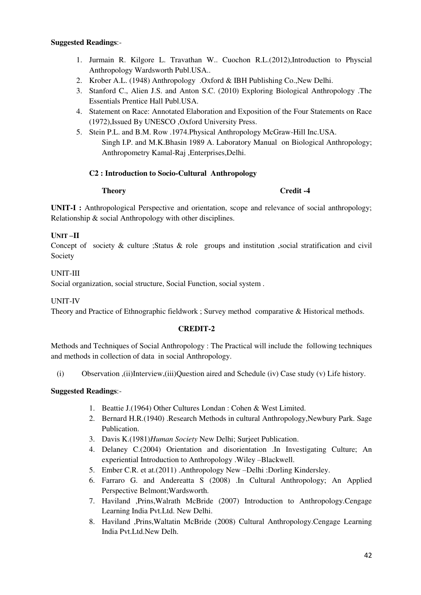### **Suggested Readings**:-

- 1. Jurmain R. Kilgore L. Travathan W.. Cuochon R.L.(2012),Introduction to Physcial Anthropology Wardsworth Publ.USA..
- 2. Krober A.L. (1948) Anthropology .Oxford & IBH Publishing Co.,New Delhi.
- 3. Stanford C., Alien J.S. and Anton S.C. (2010) Exploring Biological Anthropology .The Essentials Prentice Hall Publ.USA.
- 4. Statement on Race: Annotated Elaboration and Exposition of the Four Statements on Race (1972),Issued By UNESCO ,Oxford University Press.
- 5. Stein P.L. and B.M. Row .1974.Physical Anthropology McGraw-Hill Inc.USA. Singh I.P. and M.K.Bhasin 1989 A. Laboratory Manual on Biological Anthropology; Anthropometry Kamal-Raj ,Enterprises,Delhi.

# **C2 : Introduction to Socio-Cultural Anthropology**

### **Theory** Credit -4

**UNIT-I :** Anthropological Perspective and orientation, scope and relevance of social anthropology; Relationship & social Anthropology with other disciplines.

# **UNIT –II**

Concept of society & culture ;Status & role groups and institution ,social stratification and civil Society

# UNIT-III

Social organization, social structure, Social Function, social system .

UNIT-IV

Theory and Practice of Ethnographic fieldwork ; Survey method comparative & Historical methods.

# **CREDIT-2**

Methods and Techniques of Social Anthropology : The Practical will include the following techniques and methods in collection of data in social Anthropology.

(i) Observation ,(ii)Interview,(iii)Question aired and Schedule (iv) Case study (v) Life history.

- 1. Beattie J.(1964) Other Cultures Londan : Cohen & West Limited.
- 2. Bernard H.R.(1940) .Research Methods in cultural Anthropology,Newbury Park. Sage Publication.
- 3. Davis K.(1981)*Human Society* New Delhi; Surjeet Publication.
- 4. Delaney C.(2004) Orientation and disorientation .In Investigating Culture; An experiential Introduction to Anthropology .Wiley –Blackwell.
- 5. Ember C.R. et at.(2011) .Anthropology New –Delhi :Dorling Kindersley.
- 6. Farraro G. and Andereatta S (2008) .In Cultural Anthropology; An Applied Perspective Belmont;Wardsworth.
- 7. Haviland ,Prins,Walrath McBride (2007) Introduction to Anthropology.Cengage Learning India Pvt.Ltd. New Delhi.
- 8. Haviland ,Prins,Waltatin McBride (2008) Cultural Anthropology.Cengage Learning India Pvt.Ltd.New Delh.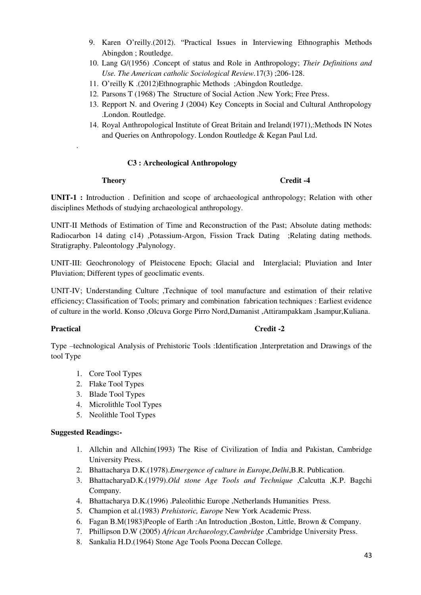- 9. Karen O'reilly.(2012). "Practical Issues in Interviewing Ethnographis Methods Abingdon ; Routledge.
- 10. Lang G/(1956) .Concept of status and Role in Anthropology; *Their Definitions and Use. The American catholic Sociological Review.*17(3) ;206-128.
- 11. O'reilly K .(2012)Ethnographic Methods ;Abingdon Routledge.
- 12. Parsons T (1968) The Structure of Social Action .New York; Free Press.
- 13. Repport N. and Overing J (2004) Key Concepts in Social and Cultural Anthropology .London. Routledge.
- 14. Royal Anthropological Institute of Great Britain and Ireland(1971),:Methods IN Notes and Queries on Anthropology. London Routledge & Kegan Paul Ltd.

# **C3 : Archeological Anthropology**

.

# **Theory** Credit -4

**UNIT-1 :** Introduction . Definition and scope of archaeological anthropology; Relation with other disciplines Methods of studying archaeological anthropology.

UNIT-II Methods of Estimation of Time and Reconstruction of the Past; Absolute dating methods: Radiocarbon 14 dating c14) ,Potassium-Argon, Fission Track Dating ;Relating dating methods. Stratigraphy. Paleontology ,Palynology.

UNIT-III: Geochronology of Pleistocene Epoch; Glacial and Interglacial; Pluviation and Inter Pluviation; Different types of geoclimatic events.

UNIT-IV; Understanding Culture ,Technique of tool manufacture and estimation of their relative efficiency; Classification of Tools; primary and combination fabrication techniques : Earliest evidence of culture in the world. Konso ,Olcuva Gorge Pirro Nord,Damanist ,Attirampakkam ,Isampur,Kuliana.

# Practical Credit -2

Type –technological Analysis of Prehistoric Tools :Identification ,Interpretation and Drawings of the tool Type

- 1. Core Tool Types
- 2. Flake Tool Types
- 3. Blade Tool Types
- 4. Microlithle Tool Types
- 5. Neolithle Tool Types

- 1. Allchin and Allchin(1993) The Rise of Civilization of India and Pakistan, Cambridge University Press.
- 2. Bhattacharya D.K.(1978).*Emergence of culture in Europe,Delhi*,B.R. Publication.
- 3. BhattacharyaD.K.(1979).*Old stone Age Tools and Technique* ,Calcutta ,K.P. Bagchi Company.
- 4. Bhattacharya D.K.(1996) .Paleolithic Europe ,Netherlands Humanities Press.
- 5. Champion et al.(1983) *Prehistoric, Europe* New York Academic Press.
- 6. Fagan B.M(1983)People of Earth :An Introduction ,Boston, Little, Brown & Company.
- 7. Phillipson D.W (2005) *African Archaeology,Cambridge* ,Cambridge University Press.
- 8. Sankalia H.D.(1964) Stone Age Tools Poona Deccan College.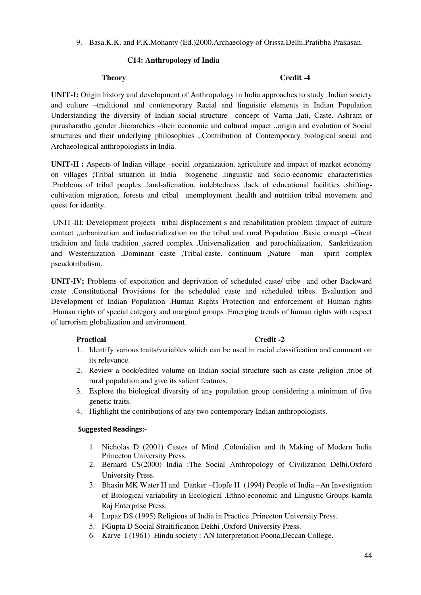9. Basa.K.K. and P.K.Mohanty (Ed.)2000.Archaeology of Orissa.Delhi,Pratibha Prakasan.

# **C14: Anthropology of India**

### **Theory Credit -4**

**UNIT-I:** Origin history and development of Anthropology in India approaches to study .Indian society and culture –traditional and contemporary Racial and linguistic elements in Indian Population Understanding the diversity of Indian social structure –concept of Varna ,Jati, Caste. Ashram or purusharatha ,gender ,hierarchies –their economic and cultural impact .,origin and evolution of Social structures and their underlying philosophies ,.Contribution of Contemporary biological social and Archaeological anthropologists in India.

**UNIT-II :** Aspects of Indian village –social ,organization, agriculture and impact of market economy on villages ;Tribal situation in India –biogenetic ,linguistic and socio-economic characteristics .Problems of tribal peoples ,land-alienation, indebtedness ,lack of educational facilities ,shiftingcultivation migration, forests and tribal unemployment ,health and nutrition tribal movement and quest for identity.

 UNIT-III: Development projects –tribal displacement s and rehabilitation problem :Impact of culture contact ,,urbanization and industrialization on the tribal and rural Population .Basic concept –Great tradition and little tradition ,sacred complex ,Universalization and parochialization, Sankritization and Westernization ,Dominant caste ,Tribal-caste. continuum ,Nature –man –spirit complex pseudotribalism.

**UNIT-IV;** Problems of expoitation and deprivation of scheduled caste/ tribe and other Backward caste .Constitutional Provisions for the scheduled caste and scheduled tribes. Evaluation and Development of Indian Population .Human Rights Protection and enforcement of Human rights .Human rights of special category and marginal groups .Emerging trends of human rights with respect of terrorism globalization and environment.

# Practical Credit -2

- 1. Identify various traits/variables which can be used in racial classification and comment on its relevance.
- 2. Review a book/edited volume on Indian social structure such as caste ,religion ,tribe of rural population and give its salient features.
- 3. Explore the biological diversity of any population group considering a minimum of five genetic traits.
- 4. Highlight the contributions of any two contemporary Indian anthropologists.

- 1. Nicholas D (2001) Castes of Mind ,Colonialisn and th Making of Modern India Princeton University Press.
- 2. Bernard CS(2000) India :The Social Anthropology of Civilization Delhi,Oxford University Press.
- 3. Bhasin MK Water H and Danker –Hopfe H (1994) People of India –An Investigation of Biological variability in Ecological .Ethno-economic and Lingustic Groups Kamla Raj Enterprise Press.
- 4. Lopaz DS (1995) Religions of India in Practice ,Princeton University Press.
- 5. FGupta D Social Straitification Dekhi ,Oxford University Press.
- 6. Karve I (1961) Hindu society : AN Interpretation Poona,Deccan College.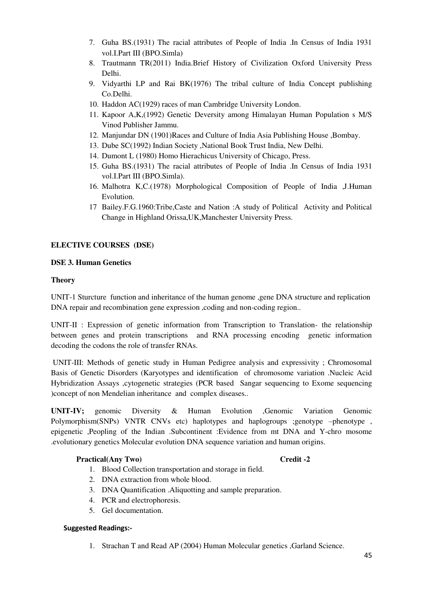- 7. Guha BS.(1931) The racial attributes of People of India .In Census of India 1931 vol.I.Part III (BPO.Simla)
- 8. Trautmann TR(2011) India.Brief History of Civilization Oxford University Press Delhi.
- 9. Vidyarthi LP and Rai BK(1976) The tribal culture of India Concept publishing Co.Delhi.
- 10. Haddon AC(1929) races of man Cambridge University London.
- 11. Kapoor A,K,(1992) Genetic Deversity among Himalayan Human Population s M/S Vinod Publisher Jammu.
- 12. Manjundar DN (1901)Races and Culture of India Asia Publishing House ,Bombay.
- 13. Dube SC(1992) Indian Society ,National Book Trust India, New Delhi.
- 14. Dumont L (1980) Homo Hierachicus University of Chicago, Press.
- 15. Guha BS.(1931) The racial attributes of People of India .In Census of India 1931 vol.I.Part III (BPO.Simla).
- 16. Malhotra K,C.(1978) Morphological Composition of People of India ,J.Human Evolution.
- 17 Bailey.F.G.1960:Tribe,Caste and Nation :A study of Political Activity and Political Change in Highland Orissa,UK,Manchester University Press.

# **ELECTIVE COURSES (DSE)**

# **DSE 3. Human Genetics**

### **Theory**

UNIT-1 Sturcture function and inheritance of the human genome ,gene DNA structure and replication DNA repair and recombination gene expression ,coding and non-coding region..

UNIT-II : Expression of genetic information from Transcription to Translation- the relationship between genes and protein transcriptions and RNA processing encoding genetic information decoding the codons the role of transfer RNAs.

 UNIT-III: Methods of genetic study in Human Pedigree analysis and expressivity ; Chromosomal Basis of Genetic Disorders (Karyotypes and identification of chromosome variation .Nucleic Acid Hybridization Assays ,cytogenetic strategies (PCR based Sangar sequencing to Exome sequencing )concept of non Mendelian inheritance and complex diseases..

**UNIT-IV;** genomic Diversity & Human Evolution ,Genomic Variation Genomic Polymorphism(SNPs) VNTR CNVs etc) haplotypes and haplogroups ;genotype –phenotype, epigenetic ,Peopling of the Indian .Subcontinent :Evidence from mt DNA and Y-chro mosome .evolutionary genetics Molecular evolution DNA sequence variation and human origins.

# Practical(Any Two) Credit -2

- 1. Blood Collection transportation and storage in field.
- 2. DNA extraction from whole blood.
- 3. DNA Quantification .Aliquotting and sample preparation.
- 4. PCR and electrophoresis.
- 5. Gel documentation.

# **Suggested Readings:-**

1. Strachan T and Read AP (2004) Human Molecular genetics ,Garland Science.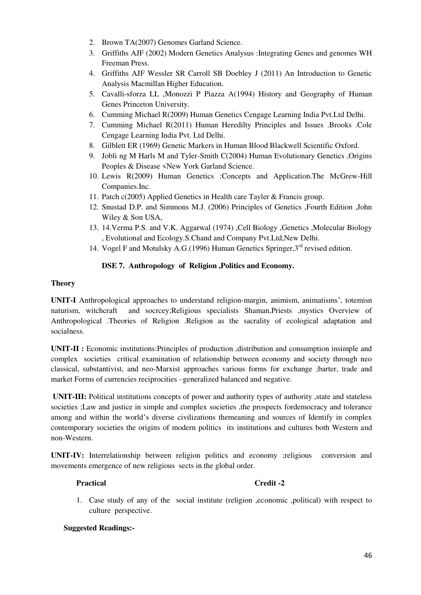- 2. Brown TA(2007) Genomes Garland Science.
- 3. Griffiths AJF (2002) Modern Genetics Analysus :Integrating Genes and genomes WH Freeman Press.
- 4. Griffiths AJF Wessler SR Carroll SB Doebley J (2011) An Introduction to Genetic Analysis Macmillan Higher Education.
- 5. Cavalli-sforza LL ,Monozzi P Piazza A(1994) History and Geography of Human Genes Princeton University.
- 6. Cumming Michael R(2009) Human Genetics Cengage Learning India Pvt.Ltd Delhi.
- 7. Cumming Michael R(2011) Human Heredilty Principles and Issues .Brooks .Cole Cengage Learning India Pvt. Ltd Delhi.
- 8. Gilblett ER (1969) Genetic Markers in Human Blood Blackwell Scientific Oxford.
- 9. Jobli ng M Harls M and Tyler-Smith C(2004) Human Evolutionary Genetics ,Origins Peoples & Disease <New York Garland Science.
- 10. Lewis R(2009) Human Genetics :Concepts and Application.The McGrew-Hill Companies.Inc.
- 11. Patch c(2005) Applied Genetics in Health care Tayler & Francis group.
- 12. Snustad D.P. and Simmons M.J. (2006) Principles of Genetics ,Fourth Edition ,John Wiley & Son USA,
- 13. 14.Verma P.S. and V.K. Aggarwal (1974) ,Cell Biology ,Genetics ,Molecular Biology , Evolutional and Ecology.S.Chand and Company Pvt.Ltd,New Delhi.
- 14. Vogel F and Motulsky A.G.(1996) Human Genetics Springer,  $3^{rd}$  revised edition.

# **DSE 7. Anthropology of Religion ,Politics and Economy.**

### **Theory**

**UNIT-I** Anthropological approaches to understand religion-margin, animism, animatisms', totemisn naturism, witchcraft and socrcey;Religious specialists Shaman,Priests ,mystics Overview of Anthropological .Theories of Religion .Religion as the sacrality of ecological adaptation and socialness.

**UNIT-II :** Economic institutions:Principles of production ,distribution and consumption insimple and complex societies critical examination of relationship between economy and society through neo classical, substantivist, and neo-Marxist approaches various forms for exchange ;barter, trade and market Forms of currencies reciprocities –generalized balanced and negative.

 **UNIT-III:** Political institutions concepts of power and authority types of authority ,state and stateless societies ; Law and justice in simple and complex societies , the prospects fordemocracy and tolerance among and within the world's diverse civilizations themeaning and sources of Identify in complex contemporary societies the origins of modern politics its institutions and cultures both Western and non-Western.

**UNIT-IV:** Interrelationship between religion politics and economy ;religious conversion and movements emergence of new religious sects in the global order.

# **Practical Credit -2**

1. Case study of any of the social institute (religion ,economic ,political) with respect to culture perspective.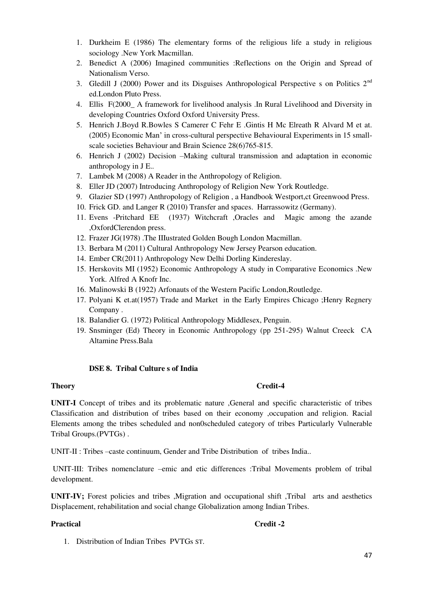- 1. Durkheim E (1986) The elementary forms of the religious life a study in religious sociology .New York Macmillan.
- 2. Benedict A (2006) Imagined communities :Reflections on the Origin and Spread of Nationalism Verso.
- 3. Gledill J (2000) Power and its Disguises Anthropological Perspective s on Politics  $2<sup>nd</sup>$ ed.London Pluto Press.
- 4. Ellis F(2000\_ A framework for livelihood analysis .In Rural Livelihood and Diversity in developing Countries Oxford Oxford University Press.
- 5. Henrich J.Boyd R.Bowles S Camerer C Fehr E .Gintis H Mc Elreath R Alvard M et at. (2005) Economic Man' in cross-cultural perspective Behavioural Experiments in 15 smallscale societies Behaviour and Brain Science 28(6)765-815.
- 6. Henrich J (2002) Decision –Making cultural transmission and adaptation in economic anthropology in J E..
- 7. Lambek M (2008) A Reader in the Anthropology of Religion.
- 8. Eller JD (2007) Introducing Anthropology of Religion New York Routledge.
- 9. Glazier SD (1997) Anthropology of Religion , a Handbook Westport,ct Greenwood Press.
- 10. Frick GD. and Langer R (2010) Transfer and spaces. Harrassowitz (Germany).
- 11. Evens -Pritchard EE (1937) Witchcraft ,Oracles and Magic among the azande ,OxfordClerendon press.
- 12. Frazer JG(1978) .The IIIustrated Golden Bough London Macmillan.
- 13. Berbara M (2011) Cultural Anthropology New Jersey Pearson education.
- 14. Ember CR(2011) Anthropology New Delhi Dorling Kindereslay.
- 15. Herskovits MI (1952) Economic Anthropology A study in Comparative Economics .New York. Alfred A Knofr Inc.
- 16. Malinowski B (1922) Arfonauts of the Western Pacific London,Routledge.
- 17. Polyani K et.at(1957) Trade and Market in the Early Empires Chicago ;Henry Regnery Company .
- 18. Balandier G. (1972) Political Anthropology Middlesex, Penguin.
- 19. Snsminger (Ed) Theory in Economic Anthropology (pp 251-295) Walnut Creeck CA Altamine Press.Bala

#### **DSE 8. Tribal Culture s of India**

#### **Theory Credit-4**

**UNIT-I** Concept of tribes and its problematic nature ,General and specific characteristic of tribes Classification and distribution of tribes based on their economy ,occupation and religion. Racial Elements among the tribes scheduled and non0scheduled category of tribes Particularly Vulnerable Tribal Groups.(PVTGs) .

UNIT-II : Tribes –caste continuum, Gender and Tribe Distribution of tribes India..

 UNIT-III: Tribes nomenclature –emic and etic differences :Tribal Movements problem of tribal development.

**UNIT-IV;** Forest policies and tribes ,Migration and occupational shift ,Tribal arts and aesthetics Displacement, rehabilitation and social change Globalization among Indian Tribes.

#### Practical **Credit -2**

1. Distribution of Indian Tribes PVTGs ST.